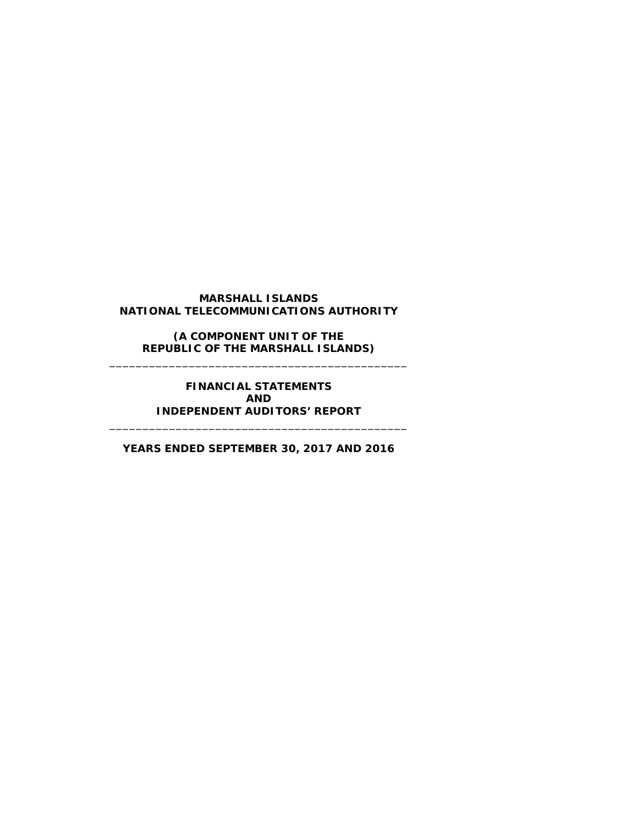# **MARSHALL ISLANDS NATIONAL TELECOMMUNICATIONS AUTHORITY**

**(A COMPONENT UNIT OF THE REPUBLIC OF THE MARSHALL ISLANDS)** \_\_\_\_\_\_\_\_\_\_\_\_\_\_\_\_\_\_\_\_\_\_\_\_\_\_\_\_\_\_\_\_\_\_\_\_\_\_\_\_\_\_\_\_\_

> **FINANCIAL STATEMENTS AND INDEPENDENT AUDITORS' REPORT**

**YEARS ENDED SEPTEMBER 30, 2017 AND 2016**

\_\_\_\_\_\_\_\_\_\_\_\_\_\_\_\_\_\_\_\_\_\_\_\_\_\_\_\_\_\_\_\_\_\_\_\_\_\_\_\_\_\_\_\_\_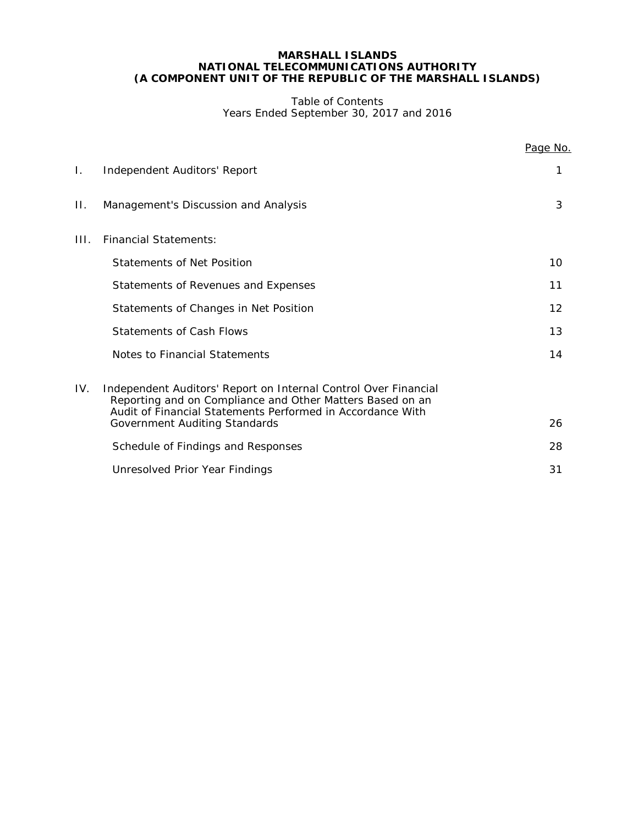## Table of Contents Years Ended September 30, 2017 and 2016

|     |                                                                                                                                                                                            | Page No. |
|-----|--------------------------------------------------------------------------------------------------------------------------------------------------------------------------------------------|----------|
| Ι.  | Independent Auditors' Report                                                                                                                                                               |          |
| Н.  | Management's Discussion and Analysis                                                                                                                                                       | 3        |
| HL. | <b>Financial Statements:</b>                                                                                                                                                               |          |
|     | <b>Statements of Net Position</b>                                                                                                                                                          | 10       |
|     | Statements of Revenues and Expenses                                                                                                                                                        | 11       |
|     | Statements of Changes in Net Position                                                                                                                                                      | 12       |
|     | <b>Statements of Cash Flows</b>                                                                                                                                                            | 13       |
|     | Notes to Financial Statements                                                                                                                                                              | 14       |
| IV. | Independent Auditors' Report on Internal Control Over Financial<br>Reporting and on Compliance and Other Matters Based on an<br>Audit of Financial Statements Performed in Accordance With |          |
|     | Government Auditing Standards                                                                                                                                                              | 26       |
|     | Schedule of Findings and Responses                                                                                                                                                         | 28       |
|     | Unresolved Prior Year Findings                                                                                                                                                             | 31       |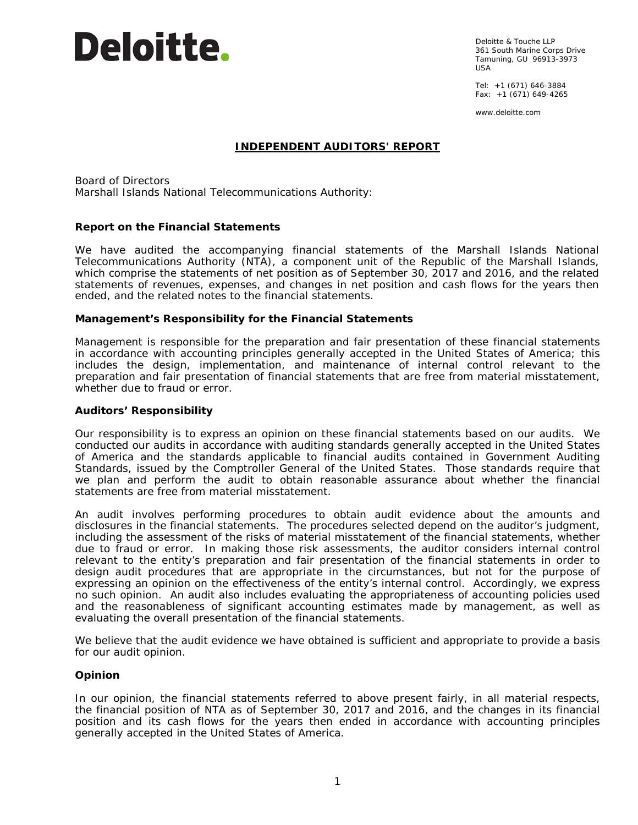

Deloitte & Touche LLP 361 South Marine Corps Drive Tamuning, GU 96913-3973 USA

Tel: +1 (671) 646-3884 Fax:  $+1$  (671) 649-4265

www.deloitte.com

# **INDEPENDENT AUDITORS' REPORT**

Board of Directors Marshall Islands National Telecommunications Authority:

# **Report on the Financial Statements**

We have audited the accompanying financial statements of the Marshall Islands National Telecommunications Authority (NTA), a component unit of the Republic of the Marshall Islands, which comprise the statements of net position as of September 30, 2017 and 2016, and the related statements of revenues, expenses, and changes in net position and cash flows for the years then ended, and the related notes to the financial statements.

## *Management's Responsibility for the Financial Statements*

Management is responsible for the preparation and fair presentation of these financial statements in accordance with accounting principles generally accepted in the United States of America; this includes the design, implementation, and maintenance of internal control relevant to the preparation and fair presentation of financial statements that are free from material misstatement, whether due to fraud or error.

# *Auditors' Responsibility*

Our responsibility is to express an opinion on these financial statements based on our audits. We conducted our audits in accordance with auditing standards generally accepted in the United States of America and the standards applicable to financial audits contained in *Government Auditing Standards*, issued by the Comptroller General of the United States. Those standards require that we plan and perform the audit to obtain reasonable assurance about whether the financial statements are free from material misstatement.

An audit involves performing procedures to obtain audit evidence about the amounts and disclosures in the financial statements. The procedures selected depend on the auditor's judgment, including the assessment of the risks of material misstatement of the financial statements, whether due to fraud or error. In making those risk assessments, the auditor considers internal control relevant to the entity's preparation and fair presentation of the financial statements in order to design audit procedures that are appropriate in the circumstances, but not for the purpose of expressing an opinion on the effectiveness of the entity's internal control. Accordingly, we express no such opinion. An audit also includes evaluating the appropriateness of accounting policies used and the reasonableness of significant accounting estimates made by management, as well as evaluating the overall presentation of the financial statements.

We believe that the audit evidence we have obtained is sufficient and appropriate to provide a basis for our audit opinion.

## *Opinion*

In our opinion, the financial statements referred to above present fairly, in all material respects, the financial position of NTA as of September 30, 2017 and 2016, and the changes in its financial position and its cash flows for the years then ended in accordance with accounting principles generally accepted in the United States of America.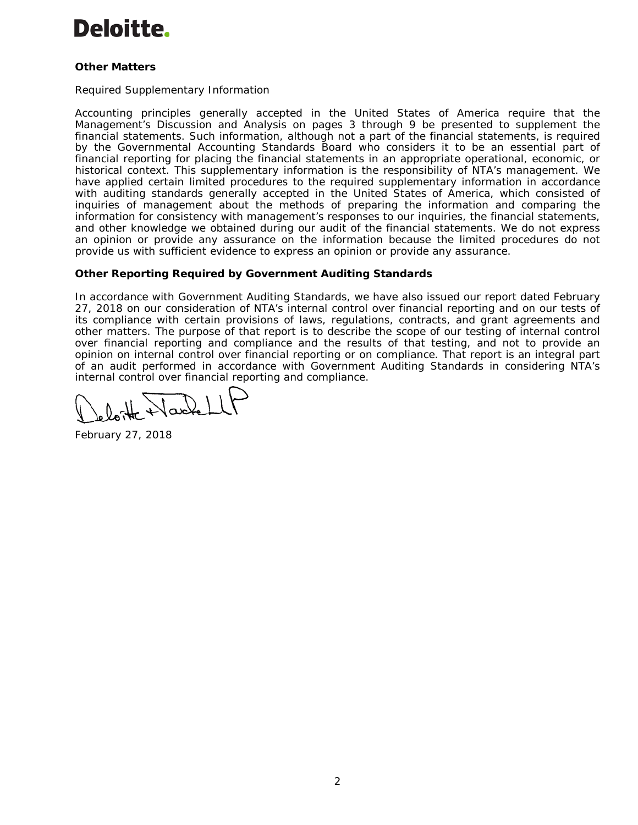# Deloitte.

# *Other Matters*

## *Required Supplementary Information*

Accounting principles generally accepted in the United States of America require that the Management's Discussion and Analysis on pages 3 through 9 be presented to supplement the financial statements. Such information, although not a part of the financial statements, is required by the Governmental Accounting Standards Board who considers it to be an essential part of financial reporting for placing the financial statements in an appropriate operational, economic, or historical context. This supplementary information is the responsibility of NTA's management. We have applied certain limited procedures to the required supplementary information in accordance with auditing standards generally accepted in the United States of America, which consisted of inquiries of management about the methods of preparing the information and comparing the information for consistency with management's responses to our inquiries, the financial statements, and other knowledge we obtained during our audit of the financial statements. We do not express an opinion or provide any assurance on the information because the limited procedures do not provide us with sufficient evidence to express an opinion or provide any assurance.

# **Other Reporting Required by** *Government Auditing Standards*

In accordance with *Government Auditing Standards*, we have also issued our report dated February 27, 2018 on our consideration of NTA's internal control over financial reporting and on our tests of its compliance with certain provisions of laws, regulations, contracts, and grant agreements and other matters. The purpose of that report is to describe the scope of our testing of internal control over financial reporting and compliance and the results of that testing, and not to provide an opinion on internal control over financial reporting or on compliance. That report is an integral part of an audit performed in accordance with *Government Auditing Standards* in considering NTA's internal control over financial reporting and compliance.

February 27, 2018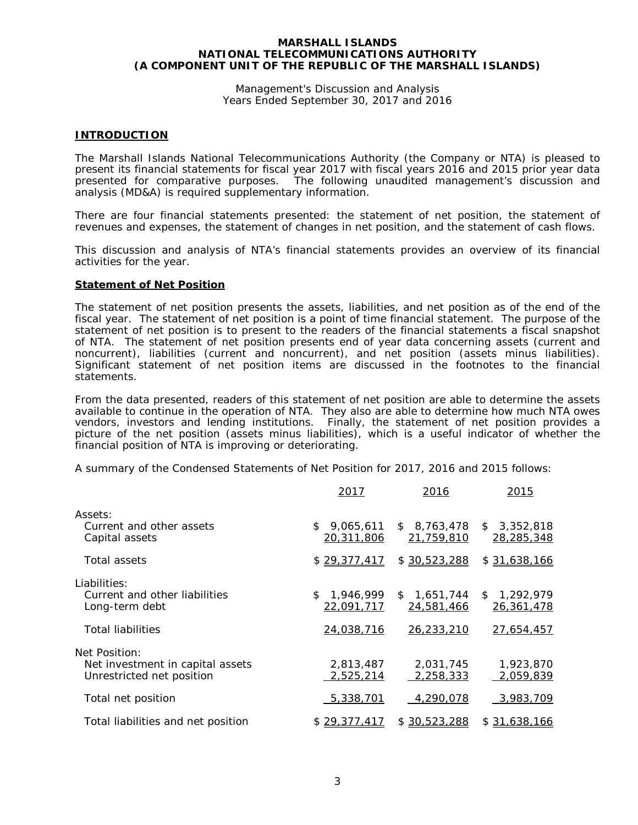Management's Discussion and Analysis Years Ended September 30, 2017 and 2016

## **INTRODUCTION**

The Marshall Islands National Telecommunications Authority (the Company or NTA) is pleased to present its financial statements for fiscal year 2017 with fiscal years 2016 and 2015 prior year data presented for comparative purposes. The following unaudited management's discussion and analysis (MD&A) is required supplementary information.

There are four financial statements presented: the statement of net position, the statement of revenues and expenses, the statement of changes in net position, and the statement of cash flows.

This discussion and analysis of NTA's financial statements provides an overview of its financial activities for the year.

#### **Statement of Net Position**

The statement of net position presents the assets, liabilities, and net position as of the end of the fiscal year. The statement of net position is a point of time financial statement. The purpose of the statement of net position is to present to the readers of the financial statements a fiscal snapshot of NTA. The statement of net position presents end of year data concerning assets (current and noncurrent), liabilities (current and noncurrent), and net position (assets minus liabilities). Significant statement of net position items are discussed in the footnotes to the financial statements.

From the data presented, readers of this statement of net position are able to determine the assets available to continue in the operation of NTA. They also are able to determine how much NTA owes vendors, investors and lending institutions. Finally, the statement of net position provides a picture of the net position (assets minus liabilities), which is a useful indicator of whether the financial position of NTA is improving or deteriorating.

A summary of the Condensed Statements of Net Position for 2017, 2016 and 2015 follows:

|                                                                                | 2017                          | 2016                      | 2015                          |
|--------------------------------------------------------------------------------|-------------------------------|---------------------------|-------------------------------|
| Assets:<br>Current and other assets<br>Capital assets                          | 9,065,611<br>\$<br>20,311,806 | \$8,763,478<br>21,759,810 | 3,352,818<br>\$<br>28,285,348 |
| Total assets                                                                   | \$29,377,417                  | \$30,523,288              | \$31,638,166                  |
| Liabilities:<br>Current and other liabilities<br>Long-term debt                | 1,946,999<br>\$<br>22,091,717 | \$1,651,744<br>24,581,466 | \$1,292,979<br>26,361,478     |
| <b>Total liabilities</b>                                                       | 24,038,716                    | 26,233,210                | 27,654,457                    |
| Net Position:<br>Net investment in capital assets<br>Unrestricted net position | 2,813,487<br>2,525,214        | 2,031,745<br>2,258,333    | 1,923,870<br>2,059,839        |
| Total net position                                                             | 5,338,701                     | 4,290,078                 | 3,983,709                     |
| Total liabilities and net position                                             | \$29,377,417                  | \$30,523,288              | \$ 31,638,166                 |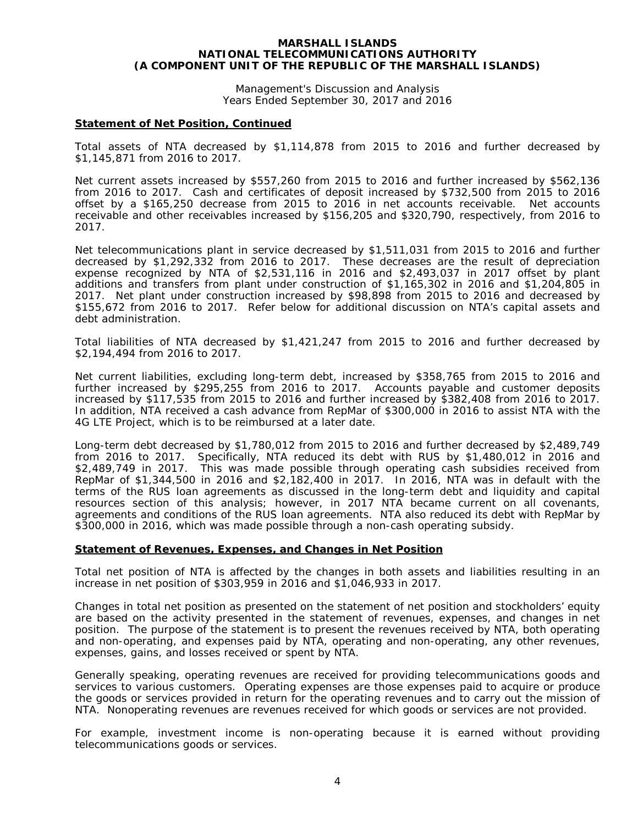Management's Discussion and Analysis Years Ended September 30, 2017 and 2016

## **Statement of Net Position, Continued**

Total assets of NTA decreased by \$1,114,878 from 2015 to 2016 and further decreased by \$1,145,871 from 2016 to 2017.

Net current assets increased by \$557,260 from 2015 to 2016 and further increased by \$562,136 from 2016 to 2017. Cash and certificates of deposit increased by \$732,500 from 2015 to 2016 offset by a \$165,250 decrease from 2015 to 2016 in net accounts receivable. Net accounts receivable and other receivables increased by \$156,205 and \$320,790, respectively, from 2016 to 2017.

Net telecommunications plant in service decreased by \$1,511,031 from 2015 to 2016 and further decreased by \$1,292,332 from 2016 to 2017. These decreases are the result of depreciation expense recognized by NTA of \$2,531,116 in 2016 and \$2,493,037 in 2017 offset by plant additions and transfers from plant under construction of \$1,165,302 in 2016 and \$1,204,805 in 2017. Net plant under construction increased by \$98,898 from 2015 to 2016 and decreased by \$155,672 from 2016 to 2017. Refer below for additional discussion on NTA's capital assets and debt administration.

Total liabilities of NTA decreased by \$1,421,247 from 2015 to 2016 and further decreased by \$2,194,494 from 2016 to 2017.

Net current liabilities, excluding long-term debt, increased by \$358,765 from 2015 to 2016 and further increased by \$295,255 from 2016 to 2017. Accounts payable and customer deposits increased by \$117,535 from 2015 to 2016 and further increased by \$382,408 from 2016 to 2017. In addition, NTA received a cash advance from RepMar of \$300,000 in 2016 to assist NTA with the 4G LTE Project, which is to be reimbursed at a later date.

Long-term debt decreased by \$1,780,012 from 2015 to 2016 and further decreased by \$2,489,749 from 2016 to 2017. Specifically, NTA reduced its debt with RUS by \$1,480,012 in 2016 and \$2,489,749 in 2017. This was made possible through operating cash subsidies received from RepMar of \$1,344,500 in 2016 and \$2,182,400 in 2017. In 2016, NTA was in default with the terms of the RUS loan agreements as discussed in the long-term debt and liquidity and capital resources section of this analysis; however, in 2017 NTA became current on all covenants, agreements and conditions of the RUS loan agreements. NTA also reduced its debt with RepMar by \$300,000 in 2016, which was made possible through a non-cash operating subsidy.

#### **Statement of Revenues, Expenses, and Changes in Net Position**

Total net position of NTA is affected by the changes in both assets and liabilities resulting in an increase in net position of \$303,959 in 2016 and \$1,046,933 in 2017.

Changes in total net position as presented on the statement of net position and stockholders' equity are based on the activity presented in the statement of revenues, expenses, and changes in net position. The purpose of the statement is to present the revenues received by NTA, both operating and non-operating, and expenses paid by NTA, operating and non-operating, any other revenues, expenses, gains, and losses received or spent by NTA.

Generally speaking, operating revenues are received for providing telecommunications goods and services to various customers. Operating expenses are those expenses paid to acquire or produce the goods or services provided in return for the operating revenues and to carry out the mission of NTA. Nonoperating revenues are revenues received for which goods or services are not provided.

For example, investment income is non-operating because it is earned without providing telecommunications goods or services.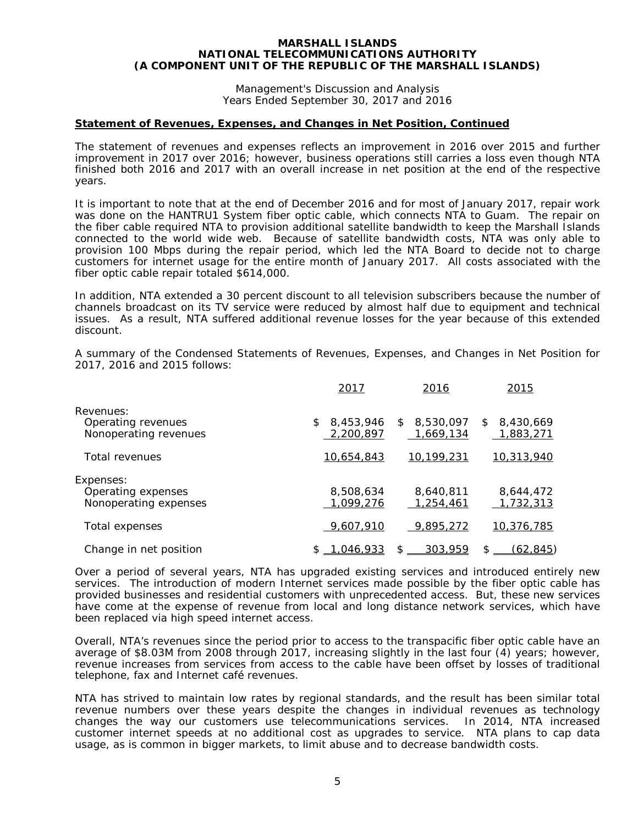Management's Discussion and Analysis Years Ended September 30, 2017 and 2016

## **Statement of Revenues, Expenses, and Changes in Net Position, Continued**

The statement of revenues and expenses reflects an improvement in 2016 over 2015 and further improvement in 2017 over 2016; however, business operations still carries a loss even though NTA finished both 2016 and 2017 with an overall increase in net position at the end of the respective years.

It is important to note that at the end of December 2016 and for most of January 2017, repair work was done on the HANTRU1 System fiber optic cable, which connects NTA to Guam. The repair on the fiber cable required NTA to provision additional satellite bandwidth to keep the Marshall Islands connected to the world wide web. Because of satellite bandwidth costs, NTA was only able to provision 100 Mbps during the repair period, which led the NTA Board to decide not to charge customers for internet usage for the entire month of January 2017. All costs associated with the fiber optic cable repair totaled \$614,000.

In addition, NTA extended a 30 percent discount to all television subscribers because the number of channels broadcast on its TV service were reduced by almost half due to equipment and technical issues. As a result, NTA suffered additional revenue losses for the year because of this extended discount.

A summary of the Condensed Statements of Revenues, Expenses, and Changes in Net Position for 2017, 2016 and 2015 follows:

|                                                          | 2017                         | 2016                         | 2015                         |
|----------------------------------------------------------|------------------------------|------------------------------|------------------------------|
| Revenues:<br>Operating revenues<br>Nonoperating revenues | 8,453,946<br>\$<br>2.200.897 | 8,530,097<br>\$<br>1.669.134 | 8,430,669<br>S.<br>1,883,271 |
| Total revenues                                           | 10,654,843                   | 10.199.231                   | 10,313,940                   |
| Expenses:<br>Operating expenses<br>Nonoperating expenses | 8,508,634<br>1.099.276       | 8,640,811<br>1,254,461       | 8,644,472<br>1,732,313       |
| Total expenses                                           | 9.607.910                    | 9.895.272                    | 10,376,785                   |
| Change in net position                                   | \$<br>1,046,933              | \$<br>303.959                | \$<br><u>(62,845)</u>        |

Over a period of several years, NTA has upgraded existing services and introduced entirely new services. The introduction of modern Internet services made possible by the fiber optic cable has provided businesses and residential customers with unprecedented access. But, these new services have come at the expense of revenue from local and long distance network services, which have been replaced via high speed internet access.

Overall, NTA's revenues since the period prior to access to the transpacific fiber optic cable have an average of \$8.03M from 2008 through 2017, increasing slightly in the last four (4) years; however, revenue increases from services from access to the cable have been offset by losses of traditional telephone, fax and Internet café revenues.

NTA has strived to maintain low rates by regional standards, and the result has been similar total revenue numbers over these years despite the changes in individual revenues as technology changes the way our customers use telecommunications services. In 2014, NTA increased changes the way our customers use telecommunications services. customer internet speeds at no additional cost as upgrades to service. NTA plans to cap data usage, as is common in bigger markets, to limit abuse and to decrease bandwidth costs.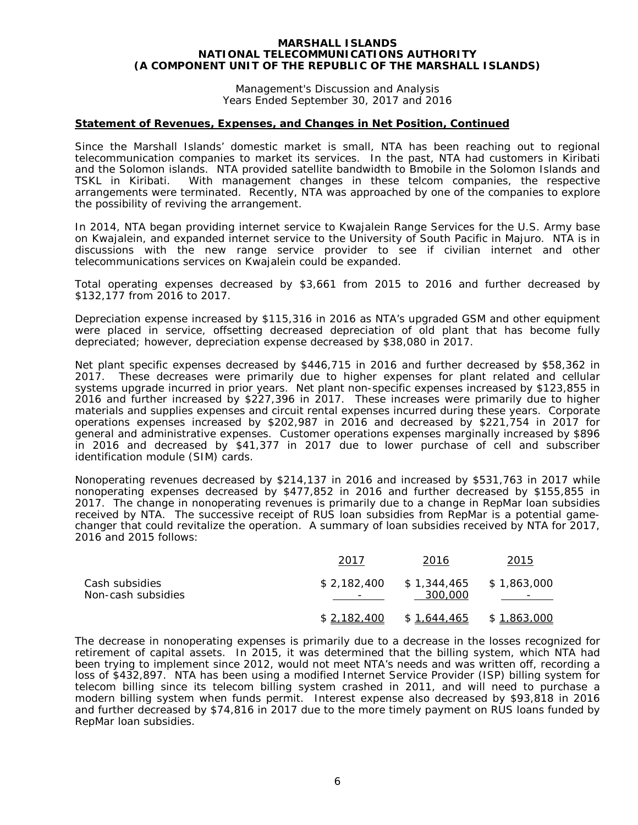Management's Discussion and Analysis Years Ended September 30, 2017 and 2016

#### **Statement of Revenues, Expenses, and Changes in Net Position, Continued**

Since the Marshall Islands' domestic market is small, NTA has been reaching out to regional telecommunication companies to market its services. In the past, NTA had customers in Kiribati and the Solomon islands. NTA provided satellite bandwidth to Bmobile in the Solomon Islands and TSKL in Kiribati. With management changes in these telcom companies, the respective arrangements were terminated. Recently, NTA was approached by one of the companies to explore the possibility of reviving the arrangement.

In 2014, NTA began providing internet service to Kwajalein Range Services for the U.S. Army base on Kwajalein, and expanded internet service to the University of South Pacific in Majuro. NTA is in discussions with the new range service provider to see if civilian internet and other telecommunications services on Kwajalein could be expanded.

Total operating expenses decreased by \$3,661 from 2015 to 2016 and further decreased by \$132,177 from 2016 to 2017.

Depreciation expense increased by \$115,316 in 2016 as NTA's upgraded GSM and other equipment were placed in service, offsetting decreased depreciation of old plant that has become fully depreciated; however, depreciation expense decreased by \$38,080 in 2017.

Net plant specific expenses decreased by \$446,715 in 2016 and further decreased by \$58,362 in 2017. These decreases were primarily due to higher expenses for plant related and cellular systems upgrade incurred in prior years. Net plant non-specific expenses increased by \$123,855 in 2016 and further increased by \$227,396 in 2017. These increases were primarily due to higher materials and supplies expenses and circuit rental expenses incurred during these years. Corporate operations expenses increased by \$202,987 in 2016 and decreased by \$221,754 in 2017 for general and administrative expenses. Customer operations expenses marginally increased by \$896 in 2016 and decreased by \$41,377 in 2017 due to lower purchase of cell and subscriber identification module (*SIM*) cards.

Nonoperating revenues decreased by \$214,137 in 2016 and increased by \$531,763 in 2017 while nonoperating expenses decreased by \$477,852 in 2016 and further decreased by \$155,855 in 2017. The change in nonoperating revenues is primarily due to a change in RepMar loan subsidies received by NTA. The successive receipt of RUS loan subsidies from RepMar is a potential gamechanger that could revitalize the operation. A summary of loan subsidies received by NTA for 2017, 2016 and 2015 follows:

|                                      | 2017                                    | 2016                   | 2015                                    |
|--------------------------------------|-----------------------------------------|------------------------|-----------------------------------------|
| Cash subsidies<br>Non-cash subsidies | \$2,182,400<br>$\overline{\phantom{0}}$ | \$1,344,465<br>300,000 | \$1,863,000<br>$\overline{\phantom{0}}$ |
|                                      | \$ 2,182,400                            | \$1,644,465            | \$1.863.000                             |

The decrease in nonoperating expenses is primarily due to a decrease in the losses recognized for retirement of capital assets. In 2015, it was determined that the billing system, which NTA had been trying to implement since 2012, would not meet NTA's needs and was written off, recording a loss of \$432,897. NTA has been using a modified Internet Service Provider (ISP) billing system for telecom billing since its telecom billing system crashed in 2011, and will need to purchase a modern billing system when funds permit. Interest expense also decreased by \$93,818 in 2016 and further decreased by \$74,816 in 2017 due to the more timely payment on RUS loans funded by RepMar loan subsidies.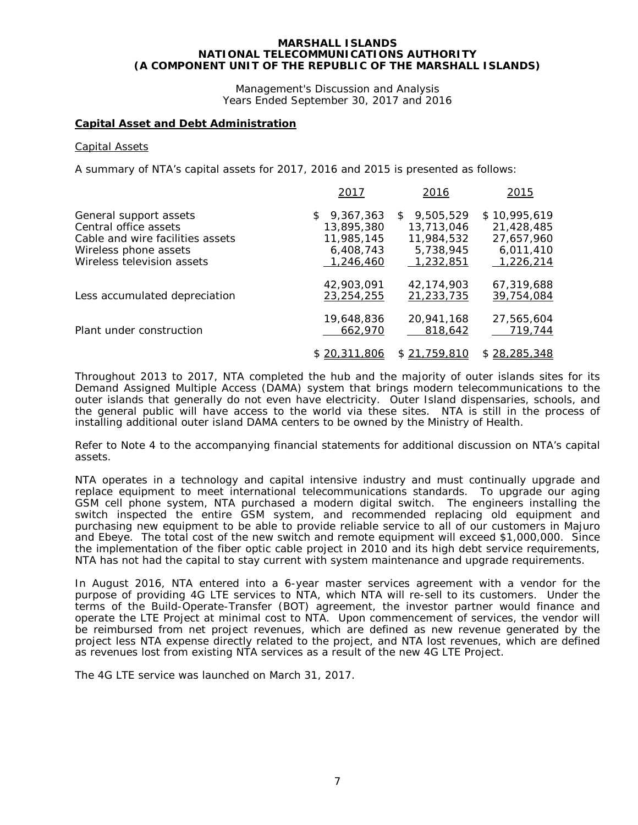Management's Discussion and Analysis Years Ended September 30, 2017 and 2016

# **Capital Asset and Debt Administration**

## Capital Assets

A summary of NTA's capital assets for 2017, 2016 and 2015 is presented as follows:

|                                  | 2017        | 2016        | 2015         |
|----------------------------------|-------------|-------------|--------------|
| General support assets           | \$9.367.363 | \$9,505,529 | \$10,995,619 |
| Central office assets            | 13,895,380  | 13,713,046  | 21,428,485   |
| Cable and wire facilities assets | 11,985,145  | 11,984,532  | 27.657.960   |
| Wireless phone assets            | 6,408,743   | 5,738,945   | 6,011,410    |
| Wireless television assets       | 1,246,460   | 1,232,851   | 1,226,214    |
|                                  |             |             |              |
|                                  | 42,903,091  | 42.174.903  | 67.319.688   |
| Less accumulated depreciation    | 23,254,255  | 21,233,735  | 39,754,084   |
|                                  | 19,648,836  | 20.941.168  | 27.565.604   |
| Plant under construction         | 662.970     | 818,642     | 719.744      |
|                                  |             |             |              |
|                                  | 1.806       | 21.759,810  | \$28.285.348 |
|                                  |             |             |              |

Throughout 2013 to 2017, NTA completed the hub and the majority of outer islands sites for its Demand Assigned Multiple Access (DAMA) system that brings modern telecommunications to the outer islands that generally do not even have electricity. Outer Island dispensaries, schools, and the general public will have access to the world via these sites. NTA is still in the process of installing additional outer island DAMA centers to be owned by the Ministry of Health.

Refer to Note 4 to the accompanying financial statements for additional discussion on NTA's capital assets.

NTA operates in a technology and capital intensive industry and must continually upgrade and replace equipment to meet international telecommunications standards. To upgrade our aging GSM cell phone system, NTA purchased a modern digital switch. The engineers installing the switch inspected the entire GSM system, and recommended replacing old equipment and purchasing new equipment to be able to provide reliable service to all of our customers in Majuro and Ebeye. The total cost of the new switch and remote equipment will exceed \$1,000,000. Since the implementation of the fiber optic cable project in 2010 and its high debt service requirements, NTA has not had the capital to stay current with system maintenance and upgrade requirements.

In August 2016, NTA entered into a 6-year master services agreement with a vendor for the purpose of providing 4G LTE services to NTA, which NTA will re-sell to its customers. Under the terms of the Build-Operate-Transfer (BOT) agreement, the investor partner would finance and operate the LTE Project at minimal cost to NTA. Upon commencement of services, the vendor will be reimbursed from net project revenues, which are defined as new revenue generated by the project less NTA expense directly related to the project, and NTA lost revenues, which are defined as revenues lost from existing NTA services as a result of the new 4G LTE Project.

The 4G LTE service was launched on March 31, 2017.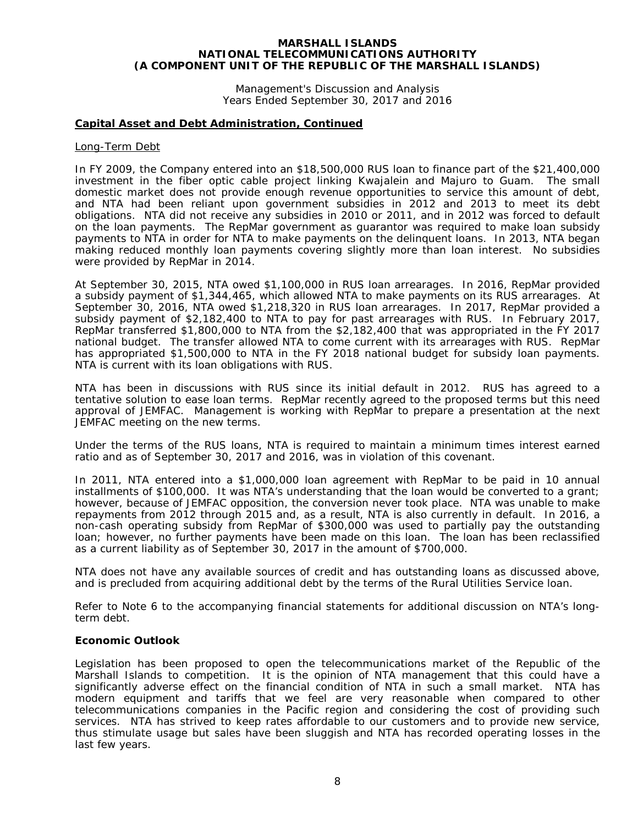Management's Discussion and Analysis Years Ended September 30, 2017 and 2016

## **Capital Asset and Debt Administration, Continued**

#### Long-Term Debt

In FY 2009, the Company entered into an \$18,500,000 RUS loan to finance part of the \$21,400,000 investment in the fiber optic cable project linking Kwajalein and Majuro to Guam. The small domestic market does not provide enough revenue opportunities to service this amount of debt, and NTA had been reliant upon government subsidies in 2012 and 2013 to meet its debt obligations. NTA did not receive any subsidies in 2010 or 2011, and in 2012 was forced to default on the loan payments. The RepMar government as guarantor was required to make loan subsidy payments to NTA in order for NTA to make payments on the delinquent loans. In 2013, NTA began making reduced monthly loan payments covering slightly more than loan interest. No subsidies were provided by RepMar in 2014.

At September 30, 2015, NTA owed \$1,100,000 in RUS loan arrearages. In 2016, RepMar provided a subsidy payment of \$1,344,465, which allowed NTA to make payments on its RUS arrearages. At September 30, 2016, NTA owed \$1,218,320 in RUS loan arrearages. In 2017, RepMar provided a subsidy payment of \$2,182,400 to NTA to pay for past arrearages with RUS. In February 2017, RepMar transferred \$1,800,000 to NTA from the \$2,182,400 that was appropriated in the FY 2017 national budget. The transfer allowed NTA to come current with its arrearages with RUS. RepMar has appropriated \$1,500,000 to NTA in the FY 2018 national budget for subsidy loan payments. NTA is current with its loan obligations with RUS.

NTA has been in discussions with RUS since its initial default in 2012. RUS has agreed to a tentative solution to ease loan terms. RepMar recently agreed to the proposed terms but this need approval of JEMFAC. Management is working with RepMar to prepare a presentation at the next JEMFAC meeting on the new terms.

Under the terms of the RUS loans, NTA is required to maintain a minimum times interest earned ratio and as of September 30, 2017 and 2016, was in violation of this covenant.

In 2011, NTA entered into a \$1,000,000 loan agreement with RepMar to be paid in 10 annual installments of \$100,000. It was NTA's understanding that the loan would be converted to a grant; however, because of JEMFAC opposition, the conversion never took place. NTA was unable to make repayments from 2012 through 2015 and, as a result, NTA is also currently in default. In 2016, a non-cash operating subsidy from RepMar of \$300,000 was used to partially pay the outstanding loan; however, no further payments have been made on this loan. The loan has been reclassified as a current liability as of September 30, 2017 in the amount of \$700,000.

NTA does not have any available sources of credit and has outstanding loans as discussed above, and is precluded from acquiring additional debt by the terms of the Rural Utilities Service loan.

Refer to Note 6 to the accompanying financial statements for additional discussion on NTA's longterm debt.

#### **Economic Outlook**

Legislation has been proposed to open the telecommunications market of the Republic of the Marshall Islands to competition. It is the opinion of NTA management that this could have a significantly adverse effect on the financial condition of NTA in such a small market. NTA has modern equipment and tariffs that we feel are very reasonable when compared to other telecommunications companies in the Pacific region and considering the cost of providing such services. NTA has strived to keep rates affordable to our customers and to provide new service, thus stimulate usage but sales have been sluggish and NTA has recorded operating losses in the last few years.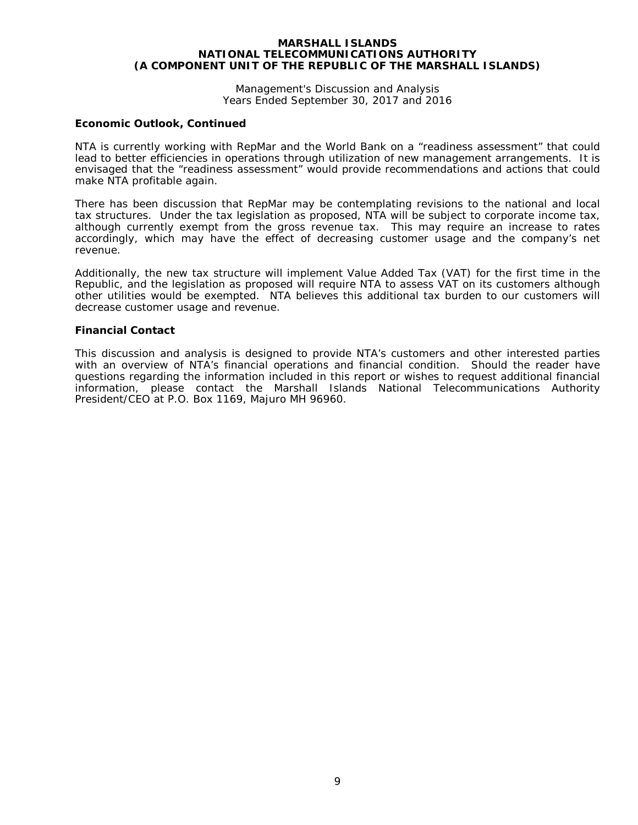Management's Discussion and Analysis Years Ended September 30, 2017 and 2016

## **Economic Outlook, Continued**

NTA is currently working with RepMar and the World Bank on a "readiness assessment" that could lead to better efficiencies in operations through utilization of new management arrangements. It is envisaged that the "readiness assessment" would provide recommendations and actions that could make NTA profitable again.

There has been discussion that RepMar may be contemplating revisions to the national and local tax structures. Under the tax legislation as proposed, NTA will be subject to corporate income tax, although currently exempt from the gross revenue tax. This may require an increase to rates accordingly, which may have the effect of decreasing customer usage and the company's net revenue.

Additionally, the new tax structure will implement Value Added Tax (VAT) for the first time in the Republic, and the legislation as proposed will require NTA to assess VAT on its customers although other utilities would be exempted. NTA believes this additional tax burden to our customers will decrease customer usage and revenue.

## **Financial Contact**

This discussion and analysis is designed to provide NTA's customers and other interested parties with an overview of NTA's financial operations and financial condition. Should the reader have questions regarding the information included in this report or wishes to request additional financial information, please contact the Marshall Islands National Telecommunications Authority President/CEO at P.O. Box 1169, Majuro MH 96960.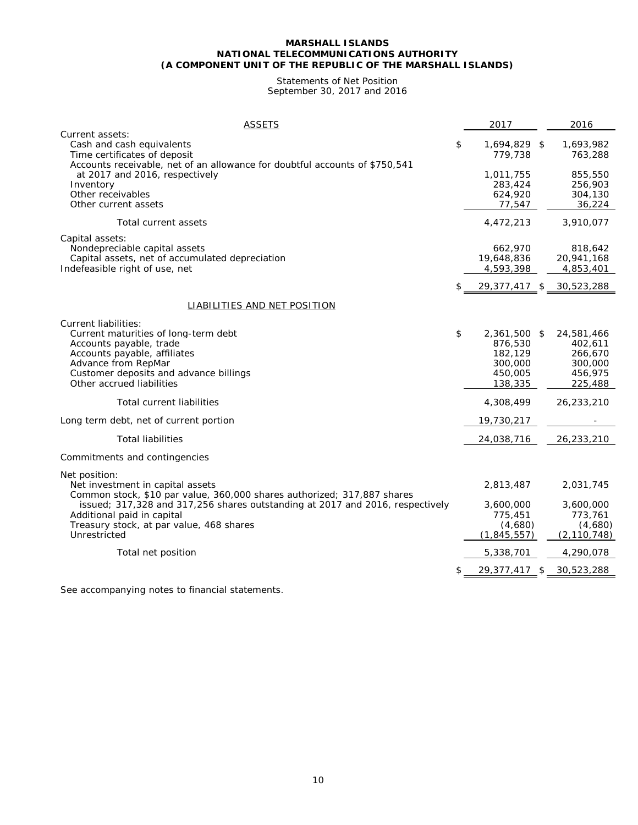#### Statements of Net Position September 30, 2017 and 2016

| <b>ASSETS</b>                                                                                                                                                                                                         | 2017                                                                      | 2016                                                              |
|-----------------------------------------------------------------------------------------------------------------------------------------------------------------------------------------------------------------------|---------------------------------------------------------------------------|-------------------------------------------------------------------|
| Current assets:<br>Cash and cash equivalents<br>Time certificates of deposit                                                                                                                                          | \$<br>1,694,829 \$<br>779,738                                             | 1,693,982<br>763,288                                              |
| Accounts receivable, net of an allowance for doubtful accounts of \$750,541<br>at 2017 and 2016, respectively<br>Inventory<br>Other receivables<br>Other current assets                                               | 1,011,755<br>283,424<br>624,920<br>77,547                                 | 855,550<br>256,903<br>304,130<br>36,224                           |
| Total current assets                                                                                                                                                                                                  | 4,472,213                                                                 | 3,910,077                                                         |
| Capital assets:<br>Nondepreciable capital assets<br>Capital assets, net of accumulated depreciation<br>Indefeasible right of use, net                                                                                 | 662,970<br>19,648,836<br>4,593,398                                        | 818,642<br>20,941,168<br>4,853,401                                |
|                                                                                                                                                                                                                       | \$<br>29,377,417 \$                                                       | 30,523,288                                                        |
| <b>LIABILITIES AND NET POSITION</b>                                                                                                                                                                                   |                                                                           |                                                                   |
| Current liabilities:<br>Current maturities of long-term debt<br>Accounts payable, trade<br>Accounts payable, affiliates<br>Advance from RepMar<br>Customer deposits and advance billings<br>Other accrued liabilities | \$<br>2,361,500 \$<br>876,530<br>182,129<br>300,000<br>450,005<br>138,335 | 24,581,466<br>402,611<br>266,670<br>300,000<br>456,975<br>225,488 |
| Total current liabilities                                                                                                                                                                                             | 4,308,499                                                                 | 26,233,210                                                        |
| Long term debt, net of current portion                                                                                                                                                                                | 19,730,217                                                                |                                                                   |
| <b>Total liabilities</b>                                                                                                                                                                                              | 24,038,716                                                                | 26,233,210                                                        |
| Commitments and contingencies                                                                                                                                                                                         |                                                                           |                                                                   |
| Net position:<br>Net investment in capital assets<br>Common stock, \$10 par value, 360,000 shares authorized; 317,887 shares                                                                                          | 2,813,487                                                                 | 2,031,745                                                         |
| issued; 317,328 and 317,256 shares outstanding at 2017 and 2016, respectively<br>Additional paid in capital<br>Treasury stock, at par value, 468 shares<br>Unrestricted                                               | 3,600,000<br>775,451<br>(4,680)<br>(1, 845, 557)                          | 3,600,000<br>773,761<br>(4,680)<br>(2, 110, 748)                  |
| Total net position                                                                                                                                                                                                    | 5,338,701                                                                 | 4,290,078                                                         |
|                                                                                                                                                                                                                       | 29,377,417 \$                                                             | 30,523,288                                                        |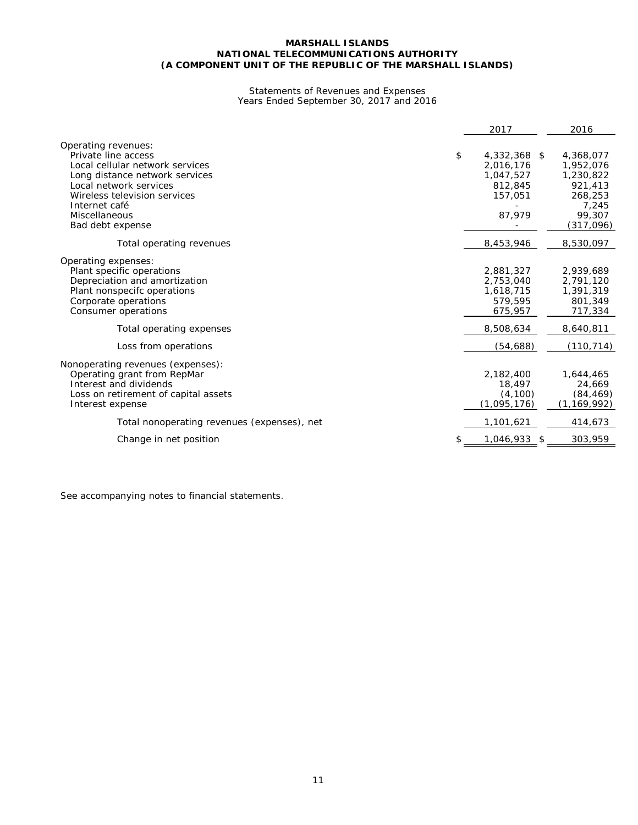#### Statements of Revenues and Expenses Years Ended September 30, 2017 and 2016

|                                                                                                                                                                                                                                       | 2017                                                                   | 2016                                                                                       |
|---------------------------------------------------------------------------------------------------------------------------------------------------------------------------------------------------------------------------------------|------------------------------------------------------------------------|--------------------------------------------------------------------------------------------|
| Operating revenues:<br>\$<br>Private line access<br>Local cellular network services<br>Long distance network services<br>Local network services<br>Wireless television services<br>Internet café<br>Miscellaneous<br>Bad debt expense | 4,332,368 \$<br>2,016,176<br>1,047,527<br>812,845<br>157,051<br>87,979 | 4,368,077<br>1,952,076<br>1,230,822<br>921,413<br>268,253<br>7.245<br>99,307<br>(317, 096) |
| Total operating revenues                                                                                                                                                                                                              | 8,453,946                                                              | 8,530,097                                                                                  |
| Operating expenses:<br>Plant specific operations<br>Depreciation and amortization<br>Plant nonspecifc operations<br>Corporate operations<br>Consumer operations                                                                       | 2,881,327<br>2,753,040<br>1,618,715<br>579,595<br>675,957              | 2,939,689<br>2,791,120<br>1,391,319<br>801,349<br>717,334                                  |
| Total operating expenses                                                                                                                                                                                                              | 8,508,634                                                              | 8,640,811                                                                                  |
| Loss from operations                                                                                                                                                                                                                  | (54, 688)                                                              | (110, 714)                                                                                 |
| Nonoperating revenues (expenses):<br>Operating grant from RepMar<br>Interest and dividends<br>Loss on retirement of capital assets<br>Interest expense                                                                                | 2,182,400<br>18,497<br>(4,100)<br>(1,095,176)                          | 1,644,465<br>24,669<br>(84, 469)<br>(1, 169, 992)                                          |
| Total nonoperating revenues (expenses), net                                                                                                                                                                                           | 1,101,621                                                              | 414,673                                                                                    |
| Change in net position<br>\$                                                                                                                                                                                                          | 1,046,933                                                              | 303,959                                                                                    |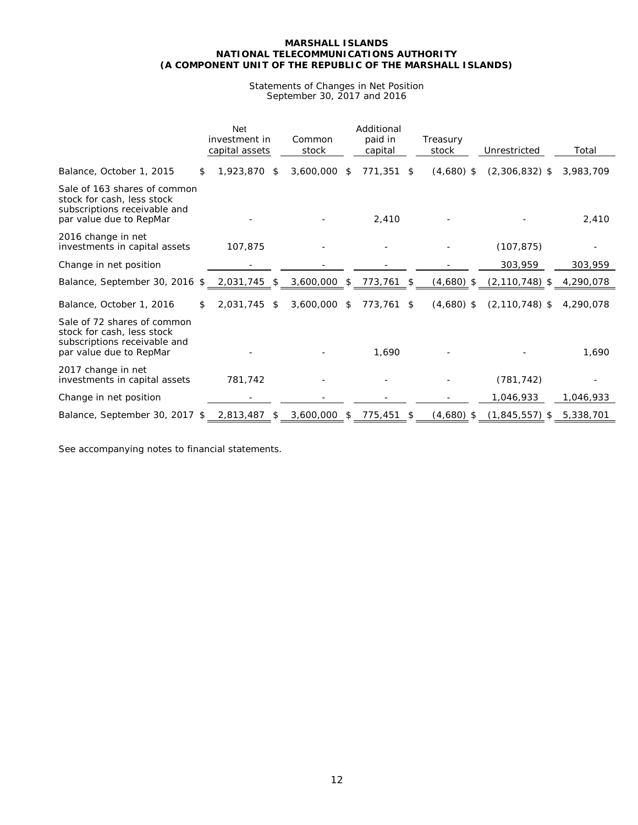Statements of Changes in Net Position September 30, 2017 and 2016

|                                                                                                                       |    | <b>Net</b><br>investment in<br>capital assets | Common<br>stock | Additional<br>paid in<br>capital | Treasury<br>stock  | Unrestricted       | Total     |
|-----------------------------------------------------------------------------------------------------------------------|----|-----------------------------------------------|-----------------|----------------------------------|--------------------|--------------------|-----------|
| Balance, October 1, 2015                                                                                              | \$ | 1,923,870<br>\$                               | 3,600,000       | \$<br>771,351                    | \$<br>$(4,680)$ \$ | $(2,306,832)$ \$   | 3,983,709 |
| Sale of 163 shares of common<br>stock for cash, less stock<br>subscriptions receivable and<br>par value due to RepMar |    |                                               |                 | 2,410                            |                    |                    | 2,410     |
| 2016 change in net<br>investments in capital assets                                                                   |    | 107,875                                       |                 |                                  |                    | (107, 875)         |           |
| Change in net position                                                                                                |    |                                               |                 |                                  |                    | 303,959            | 303,959   |
| Balance, September 30, 2016                                                                                           | \$ | 2,031,745 \$ 3,600,000 \$                     |                 | 773,761 \$                       | $(4,680)$ \$       | (2,110,748) \$     | 4,290,078 |
| Balance, October 1, 2016                                                                                              | S  | 2,031,745<br>\$                               | $3,600,000$ \$  | 773,761 \$                       | $(4,680)$ \$       | $(2, 110, 748)$ \$ | 4,290,078 |
| Sale of 72 shares of common<br>stock for cash, less stock<br>subscriptions receivable and<br>par value due to RepMar  |    |                                               |                 | 1,690                            |                    |                    | 1,690     |
| 2017 change in net<br>investments in capital assets                                                                   |    | 781,742                                       |                 |                                  |                    | (781, 742)         |           |
| Change in net position                                                                                                |    |                                               |                 |                                  |                    | 1,046,933          | 1,046,933 |
| Balance, September 30, 2017 \$                                                                                        |    | 2,813,487 \$                                  | 3,600,000       | \$<br>775,451                    | \$<br>$(4,680)$ \$ | $(1,845,557)$ \$   | 5,338,701 |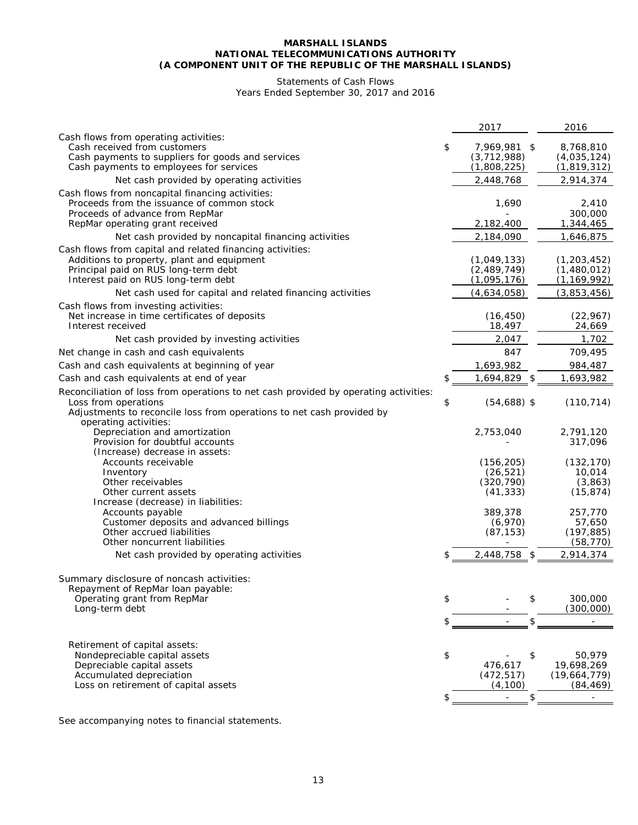# Statements of Cash Flows

Years Ended September 30, 2017 and 2016

|                                                                                                                                                                                                                | 2017                                                  | 2016                                                      |
|----------------------------------------------------------------------------------------------------------------------------------------------------------------------------------------------------------------|-------------------------------------------------------|-----------------------------------------------------------|
| Cash flows from operating activities:<br>Cash received from customers<br>Cash payments to suppliers for goods and services<br>Cash payments to employees for services                                          | \$<br>7,969,981 \$<br>(3, 712, 988)<br>(1,808,225)    | 8,768,810<br>(4,035,124)<br>(1, 819, 312)                 |
| Net cash provided by operating activities                                                                                                                                                                      | 2,448,768                                             | 2,914,374                                                 |
| Cash flows from noncapital financing activities:                                                                                                                                                               |                                                       |                                                           |
| Proceeds from the issuance of common stock<br>Proceeds of advance from RepMar<br>RepMar operating grant received                                                                                               | 1,690<br>2,182,400                                    | 2,410<br>300,000<br>1,344,465                             |
| Net cash provided by noncapital financing activities                                                                                                                                                           | 2,184,090                                             | 1,646,875                                                 |
| Cash flows from capital and related financing activities:<br>Additions to property, plant and equipment<br>Principal paid on RUS long-term debt<br>Interest paid on RUS long-term debt                         | (1,049,133)<br>(2,489,749)<br>(1,095,176)             | (1, 203, 452)<br>(1,480,012)<br>(1, 169, 992)             |
| Net cash used for capital and related financing activities                                                                                                                                                     | (4,634,058)                                           | (3,853,456)                                               |
| Cash flows from investing activities:<br>Net increase in time certificates of deposits<br>Interest received                                                                                                    | (16, 450)<br>18,497                                   | (22, 967)<br>24,669                                       |
| Net cash provided by investing activities                                                                                                                                                                      | 2,047                                                 | 1,702                                                     |
| Net change in cash and cash equivalents                                                                                                                                                                        | 847                                                   | 709,495                                                   |
| Cash and cash equivalents at beginning of year                                                                                                                                                                 | 1,693,982                                             | 984,487                                                   |
| Cash and cash equivalents at end of year                                                                                                                                                                       | \$<br>1,694,829 \$                                    | 1,693,982                                                 |
| Reconciliation of loss from operations to net cash provided by operating activities:<br>Loss from operations<br>Adjustments to reconcile loss from operations to net cash provided by<br>operating activities: | \$<br>$(54,688)$ \$                                   | (110, 714)                                                |
| Depreciation and amortization<br>Provision for doubtful accounts<br>(Increase) decrease in assets:                                                                                                             | 2,753,040                                             | 2,791,120<br>317,096                                      |
| Accounts receivable<br>Inventory<br>Other receivables<br>Other current assets<br>Increase (decrease) in liabilities:                                                                                           | (156, 205)<br>(26, 521)<br>(320, 790)<br>(41, 333)    | (132, 170)<br>10,014<br>(3,863)<br>(15, 874)              |
| Accounts payable<br>Customer deposits and advanced billings<br>Other accrued liabilities<br>Other noncurrent liabilities<br>Net cash provided by operating activities                                          | \$<br>389,378<br>(6,970)<br>(87, 153)<br>2,448,758 \$ | 257,770<br>57,650<br>(197, 885)<br>(58, 770)<br>2,914,374 |
|                                                                                                                                                                                                                |                                                       |                                                           |
| Summary disclosure of noncash activities:<br>Repayment of RepMar loan payable:<br>Operating grant from RepMar<br>Long-term debt                                                                                | \$<br>\$                                              | 300,000<br>(300,000)                                      |
|                                                                                                                                                                                                                | \$<br>\$                                              |                                                           |
| Retirement of capital assets:<br>Nondepreciable capital assets<br>Depreciable capital assets<br>Accumulated depreciation<br>Loss on retirement of capital assets                                               | \$<br>\$<br>476,617<br>(472, 517)<br>(4, 100)         | 50,979<br>19,698,269<br>(19,664,779)<br>(84, 469)         |
|                                                                                                                                                                                                                | \$<br>\$<br>$\overline{\phantom{a}}$                  |                                                           |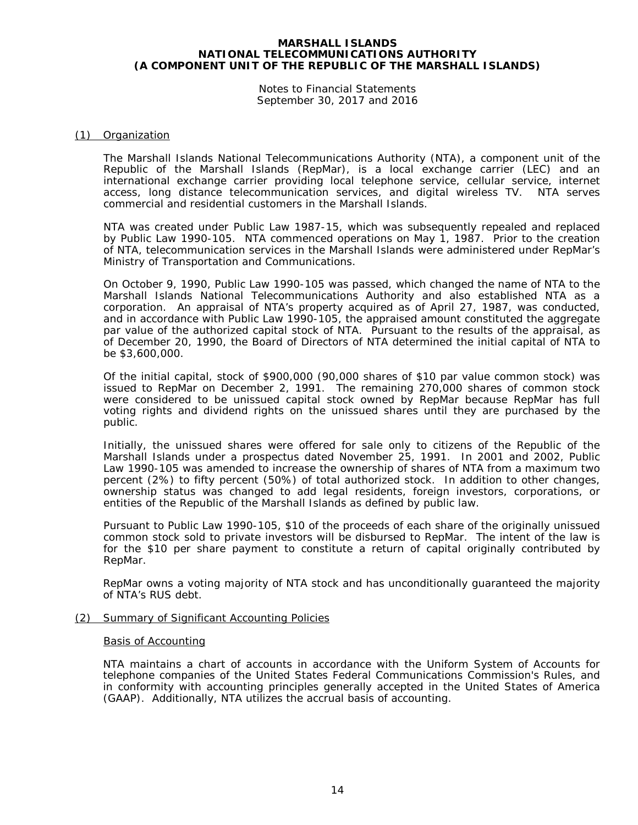Notes to Financial Statements September 30, 2017 and 2016

#### (1) Organization

The Marshall Islands National Telecommunications Authority (NTA), a component unit of the Republic of the Marshall Islands (RepMar), is a local exchange carrier (LEC) and an international exchange carrier providing local telephone service, cellular service, internet access, long distance telecommunication services, and digital wireless TV. NTA serves commercial and residential customers in the Marshall Islands.

NTA was created under Public Law 1987-15, which was subsequently repealed and replaced by Public Law 1990-105. NTA commenced operations on May 1, 1987. Prior to the creation of NTA, telecommunication services in the Marshall Islands were administered under RepMar's Ministry of Transportation and Communications.

On October 9, 1990, Public Law 1990-105 was passed, which changed the name of NTA to the Marshall Islands National Telecommunications Authority and also established NTA as a corporation. An appraisal of NTA's property acquired as of April 27, 1987, was conducted, and in accordance with Public Law 1990-105, the appraised amount constituted the aggregate par value of the authorized capital stock of NTA. Pursuant to the results of the appraisal, as of December 20, 1990, the Board of Directors of NTA determined the initial capital of NTA to be \$3,600,000.

Of the initial capital, stock of \$900,000 (90,000 shares of \$10 par value common stock) was issued to RepMar on December 2, 1991. The remaining 270,000 shares of common stock were considered to be unissued capital stock owned by RepMar because RepMar has full voting rights and dividend rights on the unissued shares until they are purchased by the public.

Initially, the unissued shares were offered for sale only to citizens of the Republic of the Marshall Islands under a prospectus dated November 25, 1991. In 2001 and 2002, Public Law 1990-105 was amended to increase the ownership of shares of NTA from a maximum two percent (2%) to fifty percent (50%) of total authorized stock. In addition to other changes, ownership status was changed to add legal residents, foreign investors, corporations, or entities of the Republic of the Marshall Islands as defined by public law.

Pursuant to Public Law 1990-105, \$10 of the proceeds of each share of the originally unissued common stock sold to private investors will be disbursed to RepMar. The intent of the law is for the \$10 per share payment to constitute a return of capital originally contributed by RepMar.

RepMar owns a voting majority of NTA stock and has unconditionally guaranteed the majority of NTA's RUS debt.

#### (2) Summary of Significant Accounting Policies

#### Basis of Accounting

NTA maintains a chart of accounts in accordance with the Uniform System of Accounts for telephone companies of the United States Federal Communications Commission's Rules, and in conformity with accounting principles generally accepted in the United States of America (GAAP). Additionally, NTA utilizes the accrual basis of accounting.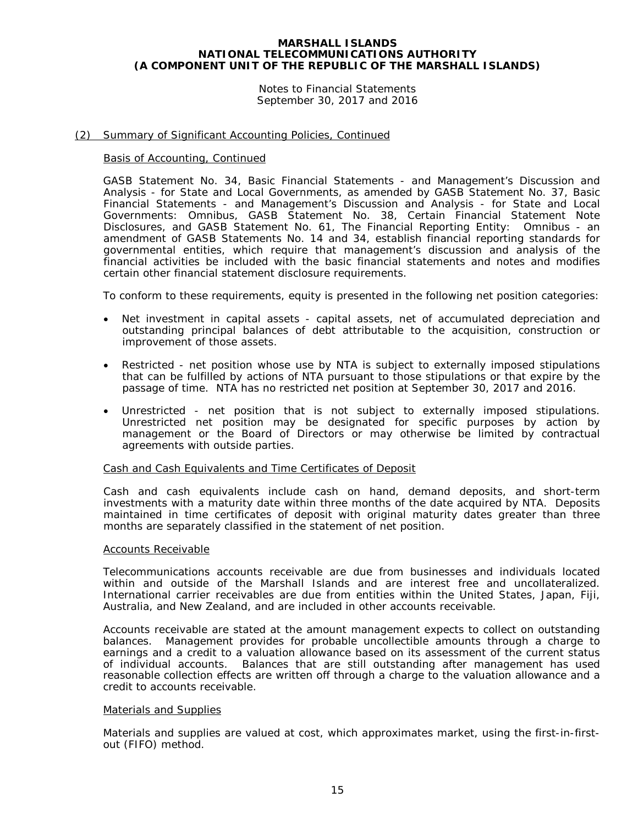Notes to Financial Statements September 30, 2017 and 2016

## (2) Summary of Significant Accounting Policies, Continued

#### Basis of Accounting, Continued

GASB Statement No. 34, *Basic Financial Statements - and Management's Discussion and Analysis - for State and Local Governments*, as amended by GASB Statement No. 37, *Basic Financial Statements - and Management's Discussion and Analysis - for State and Local Governments: Omnibus*, GASB Statement No. 38, *Certain Financial Statement Note Disclosures*, and GASB Statement No. 61, *The Financial Reporting Entity: Omnibus - an amendment of GASB Statements No. 14 and 34*, establish financial reporting standards for governmental entities, which require that management's discussion and analysis of the financial activities be included with the basic financial statements and notes and modifies certain other financial statement disclosure requirements.

To conform to these requirements, equity is presented in the following net position categories:

- Net investment in capital assets capital assets, net of accumulated depreciation and outstanding principal balances of debt attributable to the acquisition, construction or improvement of those assets.
- Restricted net position whose use by NTA is subject to externally imposed stipulations that can be fulfilled by actions of NTA pursuant to those stipulations or that expire by the passage of time. NTA has no restricted net position at September 30, 2017 and 2016.
- Unrestricted net position that is not subject to externally imposed stipulations. Unrestricted net position may be designated for specific purposes by action by management or the Board of Directors or may otherwise be limited by contractual agreements with outside parties.

#### Cash and Cash Equivalents and Time Certificates of Deposit

Cash and cash equivalents include cash on hand, demand deposits, and short-term investments with a maturity date within three months of the date acquired by NTA. Deposits maintained in time certificates of deposit with original maturity dates greater than three months are separately classified in the statement of net position.

#### Accounts Receivable

Telecommunications accounts receivable are due from businesses and individuals located within and outside of the Marshall Islands and are interest free and uncollateralized. International carrier receivables are due from entities within the United States, Japan, Fiji, Australia, and New Zealand, and are included in other accounts receivable.

Accounts receivable are stated at the amount management expects to collect on outstanding balances. Management provides for probable uncollectible amounts through a charge to earnings and a credit to a valuation allowance based on its assessment of the current status of individual accounts. Balances that are still outstanding after management has used reasonable collection effects are written off through a charge to the valuation allowance and a credit to accounts receivable.

# Materials and Supplies

Materials and supplies are valued at cost, which approximates market, using the first-in-firstout (FIFO) method.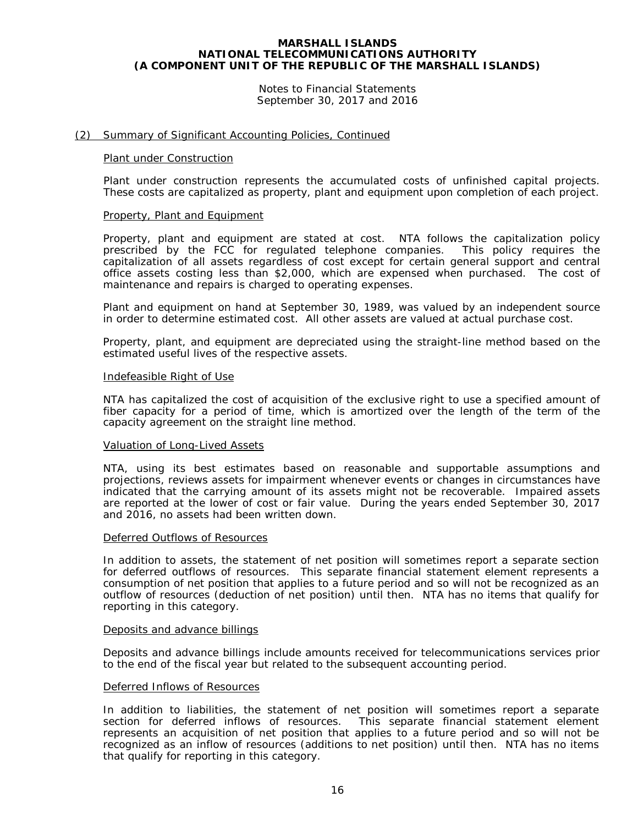Notes to Financial Statements September 30, 2017 and 2016

## (2) Summary of Significant Accounting Policies, Continued

#### Plant under Construction

Plant under construction represents the accumulated costs of unfinished capital projects. These costs are capitalized as property, plant and equipment upon completion of each project.

#### Property, Plant and Equipment

Property, plant and equipment are stated at cost. NTA follows the capitalization policy prescribed by the FCC for regulated telephone companies. This policy requires the capitalization of all assets regardless of cost except for certain general support and central office assets costing less than \$2,000, which are expensed when purchased. The cost of maintenance and repairs is charged to operating expenses.

Plant and equipment on hand at September 30, 1989, was valued by an independent source in order to determine estimated cost. All other assets are valued at actual purchase cost.

Property, plant, and equipment are depreciated using the straight-line method based on the estimated useful lives of the respective assets.

#### Indefeasible Right of Use

NTA has capitalized the cost of acquisition of the exclusive right to use a specified amount of fiber capacity for a period of time, which is amortized over the length of the term of the capacity agreement on the straight line method.

#### Valuation of Long-Lived Assets

NTA, using its best estimates based on reasonable and supportable assumptions and projections, reviews assets for impairment whenever events or changes in circumstances have indicated that the carrying amount of its assets might not be recoverable. Impaired assets are reported at the lower of cost or fair value. During the years ended September 30, 2017 and 2016, no assets had been written down.

#### Deferred Outflows of Resources

In addition to assets, the statement of net position will sometimes report a separate section for deferred outflows of resources. This separate financial statement element represents a consumption of net position that applies to a future period and so will not be recognized as an outflow of resources (deduction of net position) until then. NTA has no items that qualify for reporting in this category.

#### Deposits and advance billings

Deposits and advance billings include amounts received for telecommunications services prior to the end of the fiscal year but related to the subsequent accounting period.

## Deferred Inflows of Resources

In addition to liabilities, the statement of net position will sometimes report a separate section for deferred inflows of resources. This separate financial statement element represents an acquisition of net position that applies to a future period and so will not be recognized as an inflow of resources (additions to net position) until then. NTA has no items that qualify for reporting in this category.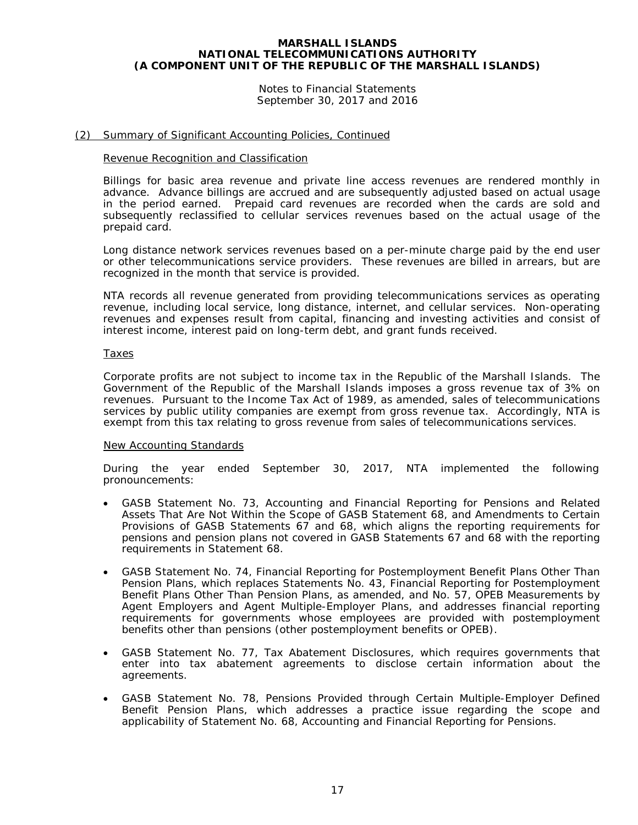Notes to Financial Statements September 30, 2017 and 2016

## (2) Summary of Significant Accounting Policies, Continued

#### Revenue Recognition and Classification

Billings for basic area revenue and private line access revenues are rendered monthly in advance. Advance billings are accrued and are subsequently adjusted based on actual usage in the period earned. Prepaid card revenues are recorded when the cards are sold and subsequently reclassified to cellular services revenues based on the actual usage of the prepaid card.

Long distance network services revenues based on a per-minute charge paid by the end user or other telecommunications service providers. These revenues are billed in arrears, but are recognized in the month that service is provided.

NTA records all revenue generated from providing telecommunications services as operating revenue, including local service, long distance, internet, and cellular services. Non-operating revenues and expenses result from capital, financing and investing activities and consist of interest income, interest paid on long-term debt, and grant funds received.

## Taxes

Corporate profits are not subject to income tax in the Republic of the Marshall Islands. The Government of the Republic of the Marshall Islands imposes a gross revenue tax of 3% on revenues. Pursuant to the Income Tax Act of 1989, as amended, sales of telecommunications services by public utility companies are exempt from gross revenue tax. Accordingly, NTA is exempt from this tax relating to gross revenue from sales of telecommunications services.

## New Accounting Standards

During the year ended September 30, 2017, NTA implemented the following pronouncements:

- GASB Statement No. 73, *Accounting and Financial Reporting for Pensions and Related Assets That Are Not Within the Scope of GASB Statement 68, and Amendments to Certain Provisions of GASB Statements 67 and 68*, which aligns the reporting requirements for pensions and pension plans not covered in GASB Statements 67 and 68 with the reporting requirements in Statement 68.
- GASB Statement No. 74, *Financial Reporting for Postemployment Benefit Plans Other Than Pension Plans*, which replaces Statements No. 43, *Financial Reporting for Postemployment Benefit Plans Other Than Pension Plans, as amended*, and No. 57, *OPEB Measurements by Agent Employers and Agent Multiple-Employer Plans*, and addresses financial reporting requirements for governments whose employees are provided with postemployment benefits other than pensions (other postemployment benefits or OPEB).
- GASB Statement No. 77, *Tax Abatement Disclosures*, which requires governments that enter into tax abatement agreements to disclose certain information about the agreements.
- GASB Statement No. 78, *Pensions Provided through Certain Multiple-Employer Defined Benefit Pension Plans*, which addresses a practice issue regarding the scope and applicability of Statement No. 68, *Accounting and Financial Reporting for Pensions*.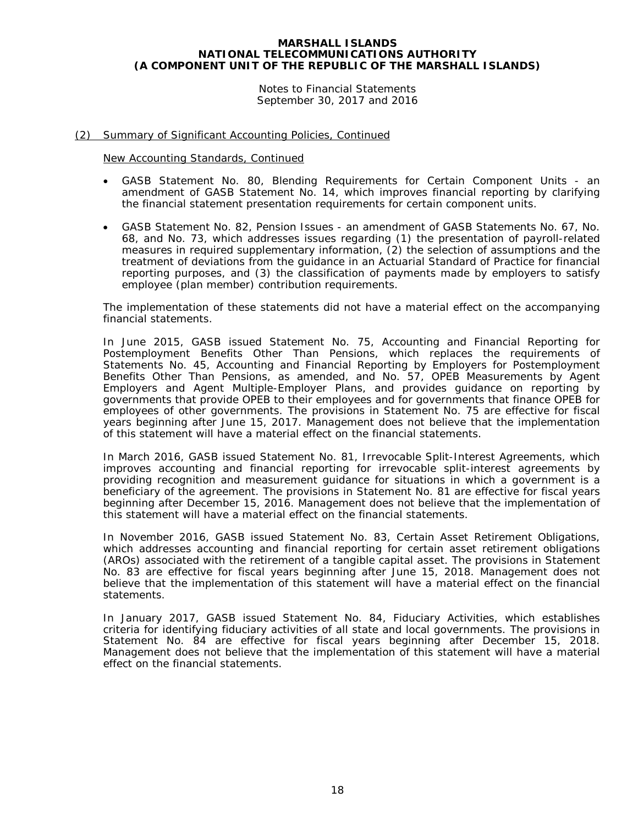Notes to Financial Statements September 30, 2017 and 2016

## (2) Summary of Significant Accounting Policies, Continued

New Accounting Standards, Continued

- GASB Statement No. 80, *Blending Requirements for Certain Component Units - an amendment of GASB Statement No. 14*, which improves financial reporting by clarifying the financial statement presentation requirements for certain component units.
- GASB Statement No. 82, *Pension Issues - an amendment of GASB Statements No. 67, No. 68, and No. 73*, which addresses issues regarding (1) the presentation of payroll-related measures in required supplementary information, (2) the selection of assumptions and the treatment of deviations from the guidance in an Actuarial Standard of Practice for financial reporting purposes, and (3) the classification of payments made by employers to satisfy employee (plan member) contribution requirements.

The implementation of these statements did not have a material effect on the accompanying financial statements.

In June 2015, GASB issued Statement No. 75, *Accounting and Financial Reporting for Postemployment Benefits Other Than Pensions*, which replaces the requirements of Statements No. 45, *Accounting and Financial Reporting by Employers for Postemployment Benefits Other Than Pensions*, as amended, and No. 57, *OPEB Measurements by Agent Employers and Agent Multiple-Employer Plans*, and provides guidance on reporting by governments that provide OPEB to their employees and for governments that finance OPEB for employees of other governments. The provisions in Statement No. 75 are effective for fiscal years beginning after June 15, 2017. Management does not believe that the implementation of this statement will have a material effect on the financial statements.

In March 2016, GASB issued Statement No. 81, *Irrevocable Split-Interest Agreements,* which improves accounting and financial reporting for irrevocable split-interest agreements by providing recognition and measurement guidance for situations in which a government is a beneficiary of the agreement. The provisions in Statement No. 81 are effective for fiscal years beginning after December 15, 2016. Management does not believe that the implementation of this statement will have a material effect on the financial statements.

In November 2016, GASB issued Statement No. 83, *Certain Asset Retirement Obligations*, which addresses accounting and financial reporting for certain asset retirement obligations (AROs) associated with the retirement of a tangible capital asset. The provisions in Statement No. 83 are effective for fiscal years beginning after June 15, 2018. Management does not believe that the implementation of this statement will have a material effect on the financial statements.

In January 2017, GASB issued Statement No. 84, *Fiduciary Activities*, which establishes criteria for identifying fiduciary activities of all state and local governments. The provisions in Statement No. 84 are effective for fiscal years beginning after December 15, 2018. Management does not believe that the implementation of this statement will have a material effect on the financial statements.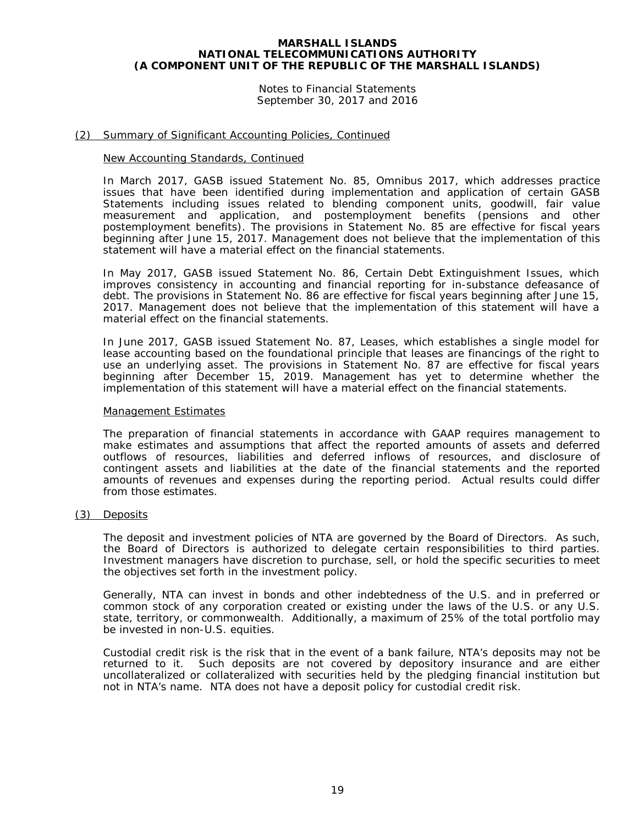Notes to Financial Statements September 30, 2017 and 2016

## (2) Summary of Significant Accounting Policies, Continued

#### New Accounting Standards, Continued

In March 2017, GASB issued Statement No. 85, *Omnibus 2017*, which addresses practice issues that have been identified during implementation and application of certain GASB Statements including issues related to blending component units, goodwill, fair value measurement and application, and postemployment benefits (pensions and other postemployment benefits). The provisions in Statement No. 85 are effective for fiscal years beginning after June 15, 2017. Management does not believe that the implementation of this statement will have a material effect on the financial statements.

In May 2017, GASB issued Statement No. 86, *Certain Debt Extinguishment Issues*, which improves consistency in accounting and financial reporting for in-substance defeasance of debt. The provisions in Statement No. 86 are effective for fiscal years beginning after June 15, 2017. Management does not believe that the implementation of this statement will have a material effect on the financial statements.

In June 2017, GASB issued Statement No. 87, *Leases*, which establishes a single model for lease accounting based on the foundational principle that leases are financings of the right to use an underlying asset. The provisions in Statement No. 87 are effective for fiscal years beginning after December 15, 2019. Management has yet to determine whether the implementation of this statement will have a material effect on the financial statements.

#### Management Estimates

The preparation of financial statements in accordance with GAAP requires management to make estimates and assumptions that affect the reported amounts of assets and deferred outflows of resources, liabilities and deferred inflows of resources, and disclosure of contingent assets and liabilities at the date of the financial statements and the reported amounts of revenues and expenses during the reporting period. Actual results could differ from those estimates.

#### (3) Deposits

The deposit and investment policies of NTA are governed by the Board of Directors. As such, the Board of Directors is authorized to delegate certain responsibilities to third parties. Investment managers have discretion to purchase, sell, or hold the specific securities to meet the objectives set forth in the investment policy.

Generally, NTA can invest in bonds and other indebtedness of the U.S. and in preferred or common stock of any corporation created or existing under the laws of the U.S. or any U.S. state, territory, or commonwealth. Additionally, a maximum of 25% of the total portfolio may be invested in non-U.S. equities.

Custodial credit risk is the risk that in the event of a bank failure, NTA's deposits may not be returned to it. Such deposits are not covered by depository insurance and are either uncollateralized or collateralized with securities held by the pledging financial institution but not in NTA's name. NTA does not have a deposit policy for custodial credit risk.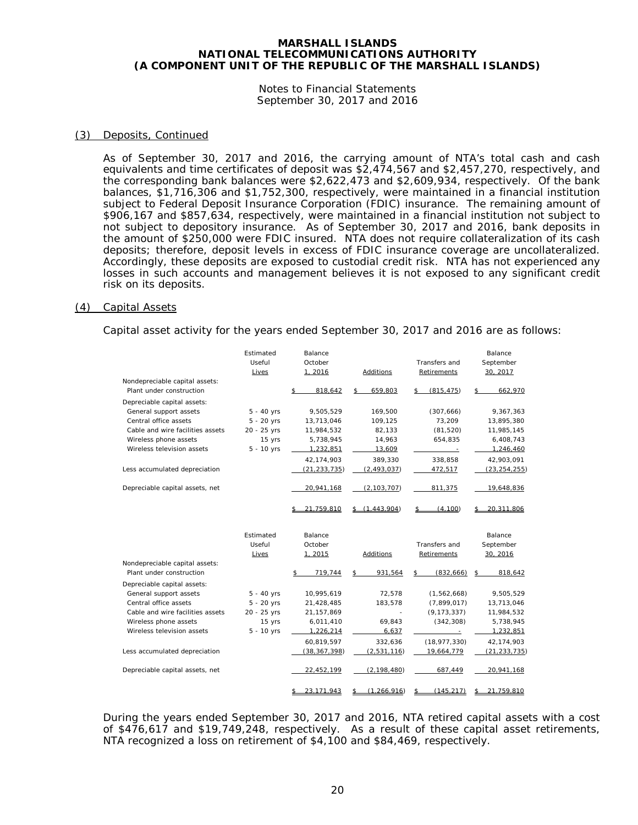Notes to Financial Statements September 30, 2017 and 2016

#### (3) Deposits, Continued

As of September 30, 2017 and 2016, the carrying amount of NTA's total cash and cash equivalents and time certificates of deposit was  $\frac{2474}{567}$  and  $\frac{27457}{270}$ , respectively, and the corresponding bank balances were \$2,622,473 and \$2,609,934, respectively. Of the bank balances, \$1,716,306 and \$1,752,300, respectively, were maintained in a financial institution subject to Federal Deposit Insurance Corporation (FDIC) insurance. The remaining amount of \$906,167 and \$857,634, respectively, were maintained in a financial institution not subject to not subject to depository insurance. As of September 30, 2017 and 2016, bank deposits in the amount of \$250,000 were FDIC insured. NTA does not require collateralization of its cash deposits; therefore, deposit levels in excess of FDIC insurance coverage are uncollateralized. Accordingly, these deposits are exposed to custodial credit risk. NTA has not experienced any losses in such accounts and management believes it is not exposed to any significant credit risk on its deposits.

#### (4) Capital Assets

Capital asset activity for the years ended September 30, 2017 and 2016 are as follows:

|                                  | Estimated    | Balance            |                     |                  | Balance          |
|----------------------------------|--------------|--------------------|---------------------|------------------|------------------|
|                                  | Useful       | October            |                     | Transfers and    | September        |
|                                  | Lives        | 1,2016             | Additions           | Retirements      | 30, 2017         |
| Nondepreciable capital assets:   |              |                    |                     |                  |                  |
| Plant under construction         |              | 818,642<br>\$      | 659,803<br>\$       | \$<br>(815, 475) | 662,970<br>\$    |
| Depreciable capital assets:      |              |                    |                     |                  |                  |
| General support assets           | $5 - 40$ yrs | 9,505,529          | 169,500             | (307, 666)       | 9,367,363        |
| Central office assets            | $5 - 20$ yrs | 13,713,046         | 109,125             | 73,209           | 13,895,380       |
| Cable and wire facilities assets | 20 - 25 yrs  | 11,984,532         | 82,133              | (81, 520)        | 11,985,145       |
| Wireless phone assets            | 15 yrs       | 5,738,945          | 14,963              | 654,835          | 6,408,743        |
| Wireless television assets       | $5 - 10$ yrs | 1,232,851          | 13,609              | $\sim$ $-$       | 1,246,460        |
|                                  |              | 42,174,903         | 389,330             | 338,858          | 42,903,091       |
| Less accumulated depreciation    |              | (21, 233, 735)     | (2, 493, 037)       | 472,517          | (23, 254, 255)   |
| Depreciable capital assets, net  |              | 20,941,168         | (2, 103, 707)       | 811,375          | 19,648,836       |
|                                  |              | 21,759,810         | (1, 443, 904)<br>\$ | (4, 100)<br>\$   | 20,311,806<br>\$ |
|                                  | Estimated    | Balance            |                     |                  | Balance          |
|                                  | Useful       | October            |                     | Transfers and    | September        |
|                                  | Lives        | 1,2015             | Additions           | Retirements      | 30, 2016         |
| Nondepreciable capital assets:   |              |                    |                     |                  |                  |
| Plant under construction         |              | 719,744<br>\$      | 931,564<br>\$       | (832, 666)<br>\$ | \$<br>818,642    |
| Depreciable capital assets:      |              |                    |                     |                  |                  |
| General support assets           | $5 - 40$ yrs | 10,995,619         | 72,578              | (1,562,668)      | 9,505,529        |
| Central office assets            | $5 - 20$ yrs | 21,428,485         | 183,578             | (7,899,017)      | 13,713,046       |
| Cable and wire facilities assets | 20 - 25 yrs  | 21, 157, 869       |                     | (9, 173, 337)    | 11,984,532       |
| Wireless phone assets            | 15 yrs       | 6,011,410          | 69,843              | (342, 308)       | 5,738,945        |
| Wireless television assets       | $5 - 10$ yrs | 1,226,214          | 6,637               |                  | 1,232,851        |
|                                  |              | 60,819,597         | 332,636             | (18, 977, 330)   | 42,174,903       |
| Less accumulated depreciation    |              | (38, 367, 398)     | (2,531,116)         | 19,664,779       | (21, 233, 735)   |
|                                  |              |                    |                     |                  |                  |
| Depreciable capital assets, net  |              | 22,452,199         | (2, 198, 480)       | 687,449          | 20,941,168       |
|                                  |              | 23, 171, 943<br>S. | (1, 266, 916)<br>S  | (145, 217)       | 21,759,810<br>\$ |

During the years ended September 30, 2017 and 2016, NTA retired capital assets with a cost of \$476,617 and \$19,749,248, respectively. As a result of these capital asset retirements, NTA recognized a loss on retirement of \$4,100 and \$84,469, respectively.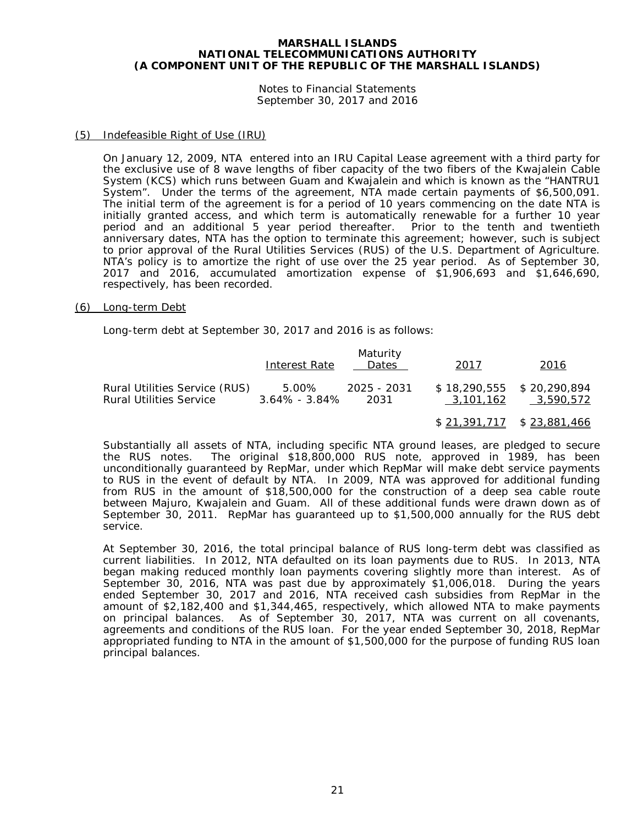Notes to Financial Statements September 30, 2017 and 2016

## (5) Indefeasible Right of Use (IRU)

On January 12, 2009, NTA entered into an IRU Capital Lease agreement with a third party for the exclusive use of 8 wave lengths of fiber capacity of the two fibers of the Kwajalein Cable System (KCS) which runs between Guam and Kwajalein and which is known as the "HANTRU1 System". Under the terms of the agreement, NTA made certain payments of \$6,500,091. The initial term of the agreement is for a period of 10 years commencing on the date NTA is initially granted access, and which term is automatically renewable for a further 10 year period and an additional 5 year period thereafter. Prior to the tenth and twentieth anniversary dates, NTA has the option to terminate this agreement; however, such is subject to prior approval of the Rural Utilities Services (RUS) of the U.S. Department of Agriculture. NTA's policy is to amortize the right of use over the 25 year period. As of September 30, 2017 and 2016, accumulated amortization expense of \$1,906,693 and \$1,646,690, respectively, has been recorded.

#### (6) Long-term Debt

Long-term debt at September 30, 2017 and 2016 is as follows:

|                                | Interest Rate     | Maturity<br>Dates | <u> 2017 </u>               | <u> 2016</u> |
|--------------------------------|-------------------|-------------------|-----------------------------|--------------|
| Rural Utilities Service (RUS)  | 5.00%             | 2025 - 2031       | $$18.290.555$ $$20.290.894$ | 3,590,572    |
| <b>Rural Utilities Service</b> | $3.64\% - 3.84\%$ | 2031              | 3,101,162                   |              |

#### \$ 21,391,717 \$ 23,881,466

Substantially all assets of NTA, including specific NTA ground leases, are pledged to secure the RUS notes. The original \$18,800,000 RUS note, approved in 1989, has been The original \$18,800,000 RUS note, approved in 1989, has been unconditionally guaranteed by RepMar, under which RepMar will make debt service payments to RUS in the event of default by NTA. In 2009, NTA was approved for additional funding from RUS in the amount of \$18,500,000 for the construction of a deep sea cable route between Majuro, Kwajalein and Guam. All of these additional funds were drawn down as of September 30, 2011. RepMar has guaranteed up to \$1,500,000 annually for the RUS debt service.

At September 30, 2016, the total principal balance of RUS long-term debt was classified as current liabilities. In 2012, NTA defaulted on its loan payments due to RUS. In 2013, NTA began making reduced monthly loan payments covering slightly more than interest. As of September 30, 2016, NTA was past due by approximately \$1,006,018. During the years ended September 30, 2017 and 2016, NTA received cash subsidies from RepMar in the amount of \$2,182,400 and \$1,344,465, respectively, which allowed NTA to make payments on principal balances. As of September 30, 2017, NTA was current on all covenants, agreements and conditions of the RUS loan. For the year ended September 30, 2018, RepMar appropriated funding to NTA in the amount of \$1,500,000 for the purpose of funding RUS loan principal balances.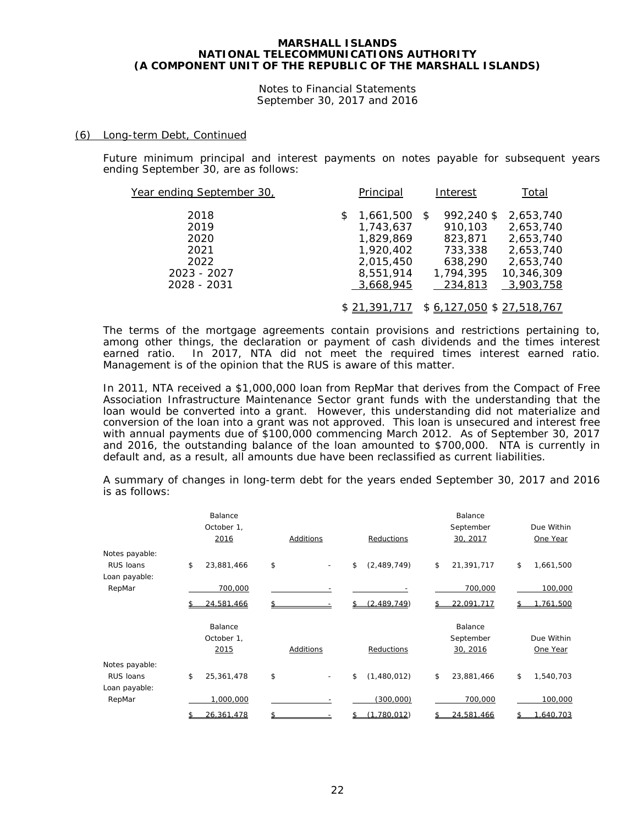Notes to Financial Statements September 30, 2017 and 2016

#### (6) Long-term Debt, Continued

Future minimum principal and interest payments on notes payable for subsequent years ending September 30, are as follows:

| Year ending September 30,            |   | Principal                                           |   | Interest                                    | Total                                                              |
|--------------------------------------|---|-----------------------------------------------------|---|---------------------------------------------|--------------------------------------------------------------------|
| 2018<br>2019<br>2020<br>2021         | S | 1,661,500<br>1,743,637<br>1,829,869<br>1,920,402    | S | 992,240 \$<br>910,103<br>823,871<br>733,338 | 2,653,740<br>2,653,740<br>2,653,740<br>2,653,740                   |
| 2022<br>$2023 - 2027$<br>2028 - 2031 |   | 2,015,450<br>8,551,914<br>3,668,945<br>\$21,391,717 |   | 638,290<br>1,794,395<br>234,813             | 2,653,740<br>10,346,309<br>3,903,758<br>$$6,127,050$ $$27,518,767$ |

The terms of the mortgage agreements contain provisions and restrictions pertaining to, among other things, the declaration or payment of cash dividends and the times interest earned ratio. In 2017, NTA did not meet the required times interest earned ratio. Management is of the opinion that the RUS is aware of this matter.

In 2011, NTA received a \$1,000,000 loan from RepMar that derives from the Compact of Free Association Infrastructure Maintenance Sector grant funds with the understanding that the loan would be converted into a grant. However, this understanding did not materialize and conversion of the loan into a grant was not approved. This loan is unsecured and interest free with annual payments due of \$100,000 commencing March 2012. As of September 30, 2017 and 2016, the outstanding balance of the loan amounted to \$700,000. NTA is currently in default and, as a result, all amounts due have been reclassified as current liabilities.

A summary of changes in long-term debt for the years ended September 30, 2017 and 2016 is as follows:

|                                              | Balance<br>October 1,<br>2016 | Additions | Reductions        | Balance<br>September<br>30, 2017 | Due Within<br>One Year |
|----------------------------------------------|-------------------------------|-----------|-------------------|----------------------------------|------------------------|
| Notes payable:<br>RUS Ioans<br>Loan payable: | \$<br>23,881,466              | \$        | \$<br>(2,489,749) | \$<br>21,391,717                 | \$<br>1,661,500        |
| RepMar                                       | 700,000                       |           |                   | 700,000                          | 100,000                |
|                                              | 24.581.466                    | \$        | (2.489.749)       | 22.091.717                       | 761.500                |
|                                              | Balance<br>October 1,<br>2015 | Additions | Reductions        | Balance<br>September<br>30, 2016 | Due Within<br>One Year |
| Notes payable:                               |                               |           |                   |                                  |                        |
| RUS Ioans<br>Loan payable:                   | \$<br>25,361,478              | \$        | \$<br>(1,480,012) | \$<br>23,881,466                 | \$<br>1,540,703        |
| RepMar                                       | 1,000,000                     |           | (300, 000)        | 700,000                          | 100,000                |
|                                              | \$<br>26.361.478              | \$        | \$<br>(1.780.012) | \$<br>24.581.466                 | \$<br>1.640.703        |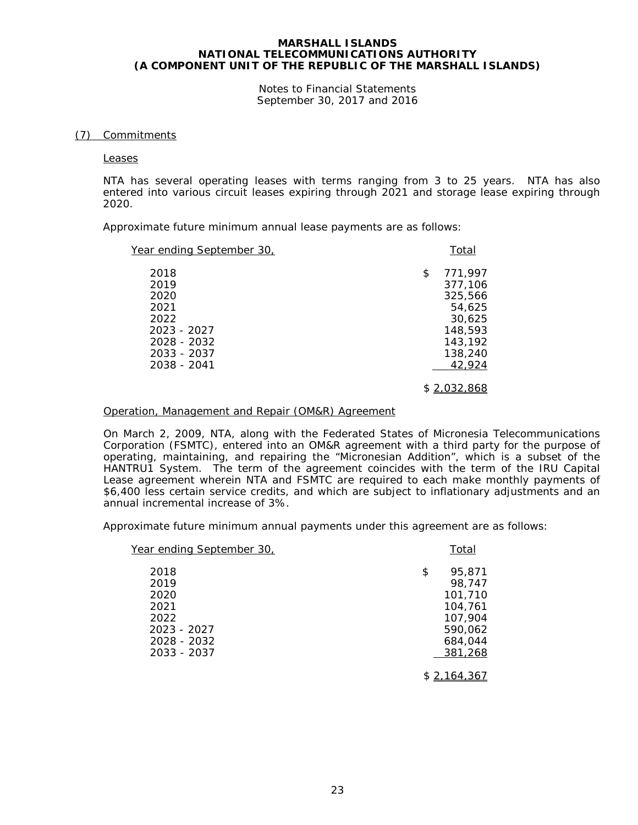Notes to Financial Statements September 30, 2017 and 2016

#### (7) Commitments

Leases

NTA has several operating leases with terms ranging from 3 to 25 years. NTA has also entered into various circuit leases expiring through 2021 and storage lease expiring through 2020.

Approximate future minimum annual lease payments are as follows:

| Year ending September 30,                                                                        | Total                                                                                              |
|--------------------------------------------------------------------------------------------------|----------------------------------------------------------------------------------------------------|
| 2018<br>2019<br>2020<br>2021<br>2022<br>2023 - 2027<br>2028 - 2032<br>2033 - 2037<br>2038 - 2041 | 771,997<br>\$<br>377,106<br>325,566<br>54,625<br>30,625<br>148,593<br>143,192<br>138,240<br>42.924 |
|                                                                                                  | \$2,032,868                                                                                        |

#### Operation, Management and Repair (OM&R) Agreement

On March 2, 2009, NTA, along with the Federated States of Micronesia Telecommunications Corporation (FSMTC), entered into an OM&R agreement with a third party for the purpose of operating, maintaining, and repairing the "Micronesian Addition", which is a subset of the HANTRU1 System. The term of the agreement coincides with the term of the IRU Capital Lease agreement wherein NTA and FSMTC are required to each make monthly payments of \$6,400 less certain service credits, and which are subject to inflationary adjustments and an annual incremental increase of 3%.

Approximate future minimum annual payments under this agreement are as follows:

| Year ending September 30,                           | Total                                                              |
|-----------------------------------------------------|--------------------------------------------------------------------|
| 2018<br>2019<br>2020<br>2021<br>2022<br>2023 - 2027 | 95,871<br>\$<br>98.747<br>101,710<br>104,761<br>107,904<br>590.062 |
| 2028 - 2032<br>2033 - 2037                          | 684.044<br>381,268<br>\$ <u>2,164,367</u>                          |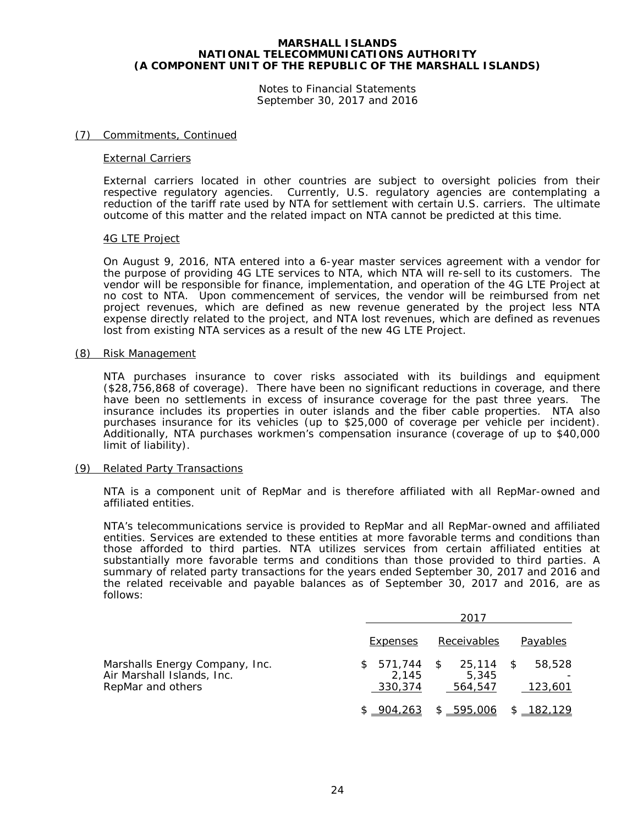Notes to Financial Statements September 30, 2017 and 2016

#### (7) Commitments, Continued

#### External Carriers

External carriers located in other countries are subject to oversight policies from their respective regulatory agencies. Currently, U.S. regulatory agencies are contemplating a reduction of the tariff rate used by NTA for settlement with certain U.S. carriers. The ultimate outcome of this matter and the related impact on NTA cannot be predicted at this time.

## 4G LTE Project

On August 9, 2016, NTA entered into a 6-year master services agreement with a vendor for the purpose of providing 4G LTE services to NTA, which NTA will re-sell to its customers. The vendor will be responsible for finance, implementation, and operation of the 4G LTE Project at no cost to NTA. Upon commencement of services, the vendor will be reimbursed from net project revenues, which are defined as new revenue generated by the project less NTA expense directly related to the project, and NTA lost revenues, which are defined as revenues lost from existing NTA services as a result of the new 4G LTE Project.

#### (8) Risk Management

NTA purchases insurance to cover risks associated with its buildings and equipment (\$28,756,868 of coverage). There have been no significant reductions in coverage, and there have been no settlements in excess of insurance coverage for the past three years. The insurance includes its properties in outer islands and the fiber cable properties. NTA also purchases insurance for its vehicles (up to \$25,000 of coverage per vehicle per incident). Additionally, NTA purchases workmen's compensation insurance (coverage of up to \$40,000 limit of liability).

## (9) Related Party Transactions

NTA is a component unit of RepMar and is therefore affiliated with all RepMar-owned and affiliated entities.

NTA's telecommunications service is provided to RepMar and all RepMar-owned and affiliated entities. Services are extended to these entities at more favorable terms and conditions than those afforded to third parties. NTA utilizes services from certain affiliated entities at substantially more favorable terms and conditions than those provided to third parties. A summary of related party transactions for the years ended September 30, 2017 and 2016 and the related receivable and payable balances as of September 30, 2017 and 2016, are as follows:

|                                                                                   |                             | 2017                                       |                          |  |  |  |
|-----------------------------------------------------------------------------------|-----------------------------|--------------------------------------------|--------------------------|--|--|--|
|                                                                                   | Expenses                    | Receivables                                | Payables                 |  |  |  |
| Marshalls Energy Company, Inc.<br>Air Marshall Islands, Inc.<br>RepMar and others | 571,744<br>2.145<br>330.374 | 25,114<br>$\mathbb{S}$<br>5.345<br>564,547 | 58,528<br>-\$<br>123,601 |  |  |  |
|                                                                                   | $$ -904,263$                | \$ 595,006                                 | \$ 182,129               |  |  |  |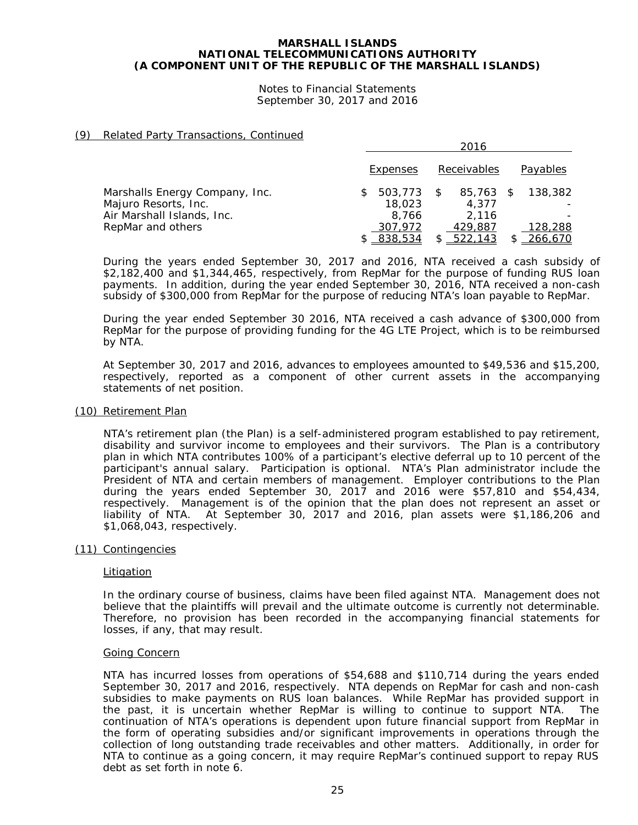Notes to Financial Statements September 30, 2017 and 2016

## (9) Related Party Transactions, Continued

|                                | 2016     |  |             |  |          |  |
|--------------------------------|----------|--|-------------|--|----------|--|
|                                | Expenses |  | Receivables |  | Payables |  |
| Marshalls Energy Company, Inc. | 503,773  |  | 85,763 \$   |  | 138,382  |  |
| Majuro Resorts, Inc.           | 18,023   |  | 4.377       |  |          |  |
| Air Marshall Islands, Inc.     | 8.766    |  | 2.116       |  |          |  |
| RepMar and others              | 307.972  |  | 429,887     |  | 128,288  |  |
|                                | 838,534  |  | 522.143     |  | 266,670  |  |

During the years ended September 30, 2017 and 2016, NTA received a cash subsidy of \$2,182,400 and \$1,344,465, respectively, from RepMar for the purpose of funding RUS loan payments. In addition, during the year ended September 30, 2016, NTA received a non-cash subsidy of \$300,000 from RepMar for the purpose of reducing NTA's loan payable to RepMar.

During the year ended September 30 2016, NTA received a cash advance of \$300,000 from RepMar for the purpose of providing funding for the 4G LTE Project, which is to be reimbursed by NTA.

At September 30, 2017 and 2016, advances to employees amounted to \$49,536 and \$15,200, respectively, reported as a component of other current assets in the accompanying statements of net position.

#### (10) Retirement Plan

NTA's retirement plan (the Plan) is a self-administered program established to pay retirement, disability and survivor income to employees and their survivors. The Plan is a contributory plan in which NTA contributes 100% of a participant's elective deferral up to 10 percent of the participant's annual salary. Participation is optional. NTA's Plan administrator include the President of NTA and certain members of management. Employer contributions to the Plan during the years ended September 30, 2017 and 2016 were \$57,810 and \$54,434, respectively. Management is of the opinion that the plan does not represent an asset or liability of NTA. At September 30, 2017 and 2016, plan assets were \$1,186,206 and \$1,068,043, respectively.

#### (11) Contingencies

## **Litigation**

In the ordinary course of business, claims have been filed against NTA. Management does not believe that the plaintiffs will prevail and the ultimate outcome is currently not determinable. Therefore, no provision has been recorded in the accompanying financial statements for losses, if any, that may result.

#### Going Concern

NTA has incurred losses from operations of \$54,688 and \$110,714 during the years ended September 30, 2017 and 2016, respectively. NTA depends on RepMar for cash and non-cash subsidies to make payments on RUS loan balances. While RepMar has provided support in the past, it is uncertain whether RepMar is willing to continue to support NTA. The the past, it is uncertain whether RepMar is willing to continue to support NTA. continuation of NTA's operations is dependent upon future financial support from RepMar in the form of operating subsidies and/or significant improvements in operations through the collection of long outstanding trade receivables and other matters. Additionally, in order for NTA to continue as a going concern, it may require RepMar's continued support to repay RUS debt as set forth in note 6.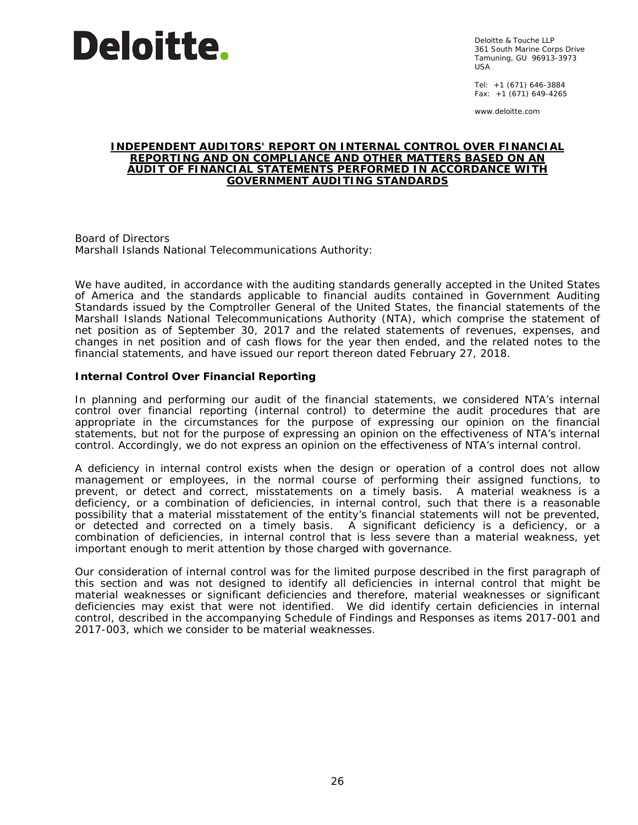

Deloitte & Touche LLP 361 South Marine Corps Drive Tamuning, GU 96913-3973 USA

Tel: +1 (671) 646-3884 Fax:  $+1$  (671) 649-4265

www.deloitte.com

## **INDEPENDENT AUDITORS' REPORT ON INTERNAL CONTROL OVER FINANCIAL REPORTING AND ON COMPLIANCE AND OTHER MATTERS BASED ON AN AUDIT OF FINANCIAL STATEMENTS PERFORMED IN ACCORDANCE WITH** *GOVERNMENT AUDITING STANDARDS*

Board of Directors Marshall Islands National Telecommunications Authority:

We have audited, in accordance with the auditing standards generally accepted in the United States of America and the standards applicable to financial audits contained in *Government Auditing Standards* issued by the Comptroller General of the United States, the financial statements of the Marshall Islands National Telecommunications Authority (NTA), which comprise the statement of net position as of September 30, 2017 and the related statements of revenues, expenses, and changes in net position and of cash flows for the year then ended, and the related notes to the financial statements, and have issued our report thereon dated February 27, 2018.

# **Internal Control Over Financial Reporting**

In planning and performing our audit of the financial statements, we considered NTA's internal control over financial reporting (internal control) to determine the audit procedures that are appropriate in the circumstances for the purpose of expressing our opinion on the financial statements, but not for the purpose of expressing an opinion on the effectiveness of NTA's internal control. Accordingly, we do not express an opinion on the effectiveness of NTA's internal control.

A *deficiency in internal control* exists when the design or operation of a control does not allow management or employees, in the normal course of performing their assigned functions, to prevent, or detect and correct, misstatements on a timely basis. A *material weakness* is a deficiency, or a combination of deficiencies, in internal control, such that there is a reasonable possibility that a material misstatement of the entity's financial statements will not be prevented, or detected and corrected on a timely basis. A *significant deficiency* is a deficiency, or a combination of deficiencies, in internal control that is less severe than a material weakness, yet important enough to merit attention by those charged with governance.

Our consideration of internal control was for the limited purpose described in the first paragraph of this section and was not designed to identify all deficiencies in internal control that might be material weaknesses or significant deficiencies and therefore, material weaknesses or significant deficiencies may exist that were not identified. We did identify certain deficiencies in internal control, described in the accompanying Schedule of Findings and Responses as items 2017-001 and 2017-003, which we consider to be material weaknesses.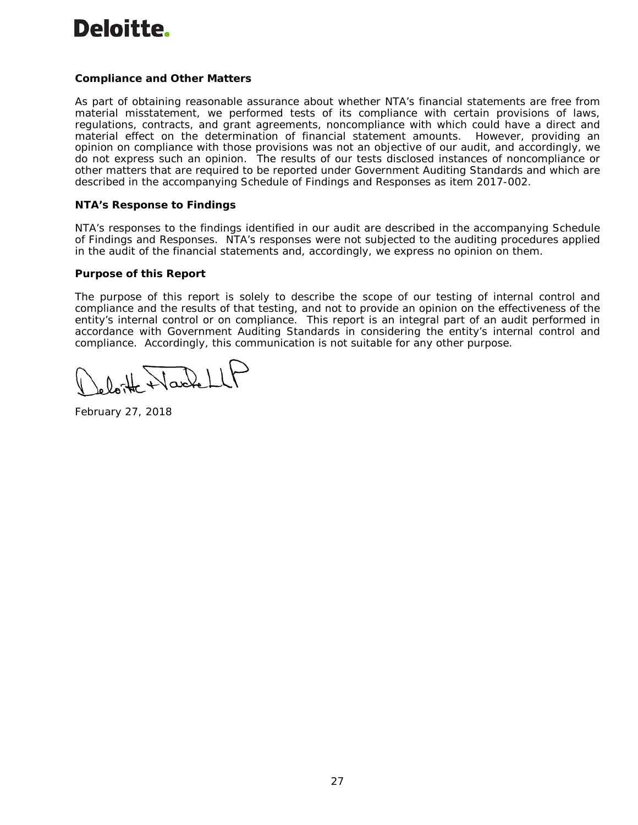# **Deloitte**

# **Compliance and Other Matters**

As part of obtaining reasonable assurance about whether NTA's financial statements are free from material misstatement, we performed tests of its compliance with certain provisions of laws, regulations, contracts, and grant agreements, noncompliance with which could have a direct and material effect on the determination of financial statement amounts. However, providing an opinion on compliance with those provisions was not an objective of our audit, and accordingly, we do not express such an opinion. The results of our tests disclosed instances of noncompliance or other matters that are required to be reported under *Government Auditing Standards* and which are described in the accompanying Schedule of Findings and Responses as item 2017-002.

# **NTA's Response to Findings**

NTA's responses to the findings identified in our audit are described in the accompanying Schedule of Findings and Responses. NTA's responses were not subjected to the auditing procedures applied in the audit of the financial statements and, accordingly, we express no opinion on them.

## **Purpose of this Report**

The purpose of this report is solely to describe the scope of our testing of internal control and compliance and the results of that testing, and not to provide an opinion on the effectiveness of the entity's internal control or on compliance. This report is an integral part of an audit performed in accordance with *Government Auditing Standards* in considering the entity's internal control and compliance. Accordingly, this communication is not suitable for any other purpose.

Jacket

February 27, 2018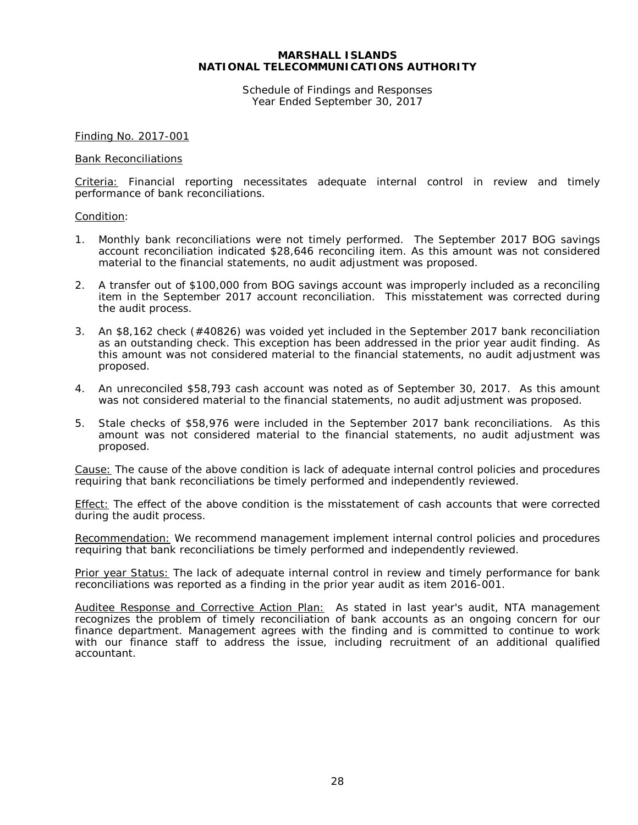## **MARSHALL ISLANDS NATIONAL TELECOMMUNICATIONS AUTHORITY**

Schedule of Findings and Responses Year Ended September 30, 2017

Finding No. 2017-001

#### Bank Reconciliations

Criteria: Financial reporting necessitates adequate internal control in review and timely performance of bank reconciliations.

#### Condition:

- 1. Monthly bank reconciliations were not timely performed. The September 2017 BOG savings account reconciliation indicated \$28,646 reconciling item. As this amount was not considered material to the financial statements, no audit adjustment was proposed.
- 2. A transfer out of \$100,000 from BOG savings account was improperly included as a reconciling item in the September 2017 account reconciliation. This misstatement was corrected during the audit process.
- 3. An \$8,162 check (#40826) was voided yet included in the September 2017 bank reconciliation as an outstanding check. This exception has been addressed in the prior year audit finding. As this amount was not considered material to the financial statements, no audit adjustment was proposed.
- 4. An unreconciled \$58,793 cash account was noted as of September 30, 2017. As this amount was not considered material to the financial statements, no audit adjustment was proposed.
- 5. Stale checks of \$58,976 were included in the September 2017 bank reconciliations. As this amount was not considered material to the financial statements, no audit adjustment was proposed.

Cause: The cause of the above condition is lack of adequate internal control policies and procedures requiring that bank reconciliations be timely performed and independently reviewed.

Effect: The effect of the above condition is the misstatement of cash accounts that were corrected during the audit process.

Recommendation: We recommend management implement internal control policies and procedures requiring that bank reconciliations be timely performed and independently reviewed.

Prior year Status: The lack of adequate internal control in review and timely performance for bank reconciliations was reported as a finding in the prior year audit as item 2016-001.

Auditee Response and Corrective Action Plan: As stated in last year's audit, NTA management recognizes the problem of timely reconciliation of bank accounts as an ongoing concern for our finance department. Management agrees with the finding and is committed to continue to work with our finance staff to address the issue, including recruitment of an additional qualified accountant.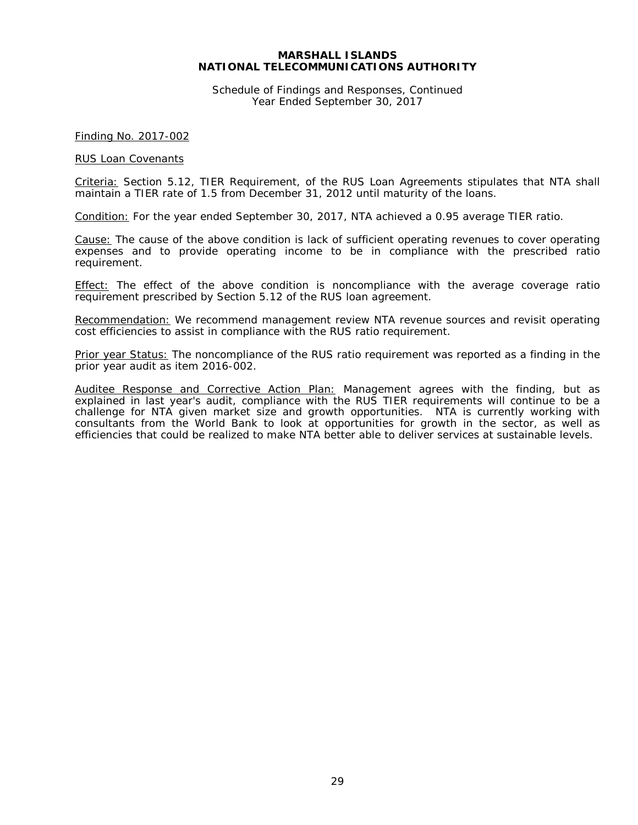## **MARSHALL ISLANDS NATIONAL TELECOMMUNICATIONS AUTHORITY**

Schedule of Findings and Responses, Continued Year Ended September 30, 2017

Finding No. 2017-002

#### RUS Loan Covenants

Criteria: Section 5.12, *TIER Requirement*, of the RUS Loan Agreements stipulates that NTA shall maintain a TIER rate of 1.5 from December 31, 2012 until maturity of the loans.

Condition: For the year ended September 30, 2017, NTA achieved a 0.95 average TIER ratio.

Cause: The cause of the above condition is lack of sufficient operating revenues to cover operating expenses and to provide operating income to be in compliance with the prescribed ratio requirement.

Effect: The effect of the above condition is noncompliance with the average coverage ratio requirement prescribed by Section 5.12 of the RUS loan agreement.

Recommendation: We recommend management review NTA revenue sources and revisit operating cost efficiencies to assist in compliance with the RUS ratio requirement.

Prior year Status: The noncompliance of the RUS ratio requirement was reported as a finding in the prior year audit as item 2016-002.

Auditee Response and Corrective Action Plan: Management agrees with the finding, but as explained in last year's audit, compliance with the RUS TIER requirements will continue to be a challenge for NTA given market size and growth opportunities. NTA is currently working with consultants from the World Bank to look at opportunities for growth in the sector, as well as efficiencies that could be realized to make NTA better able to deliver services at sustainable levels.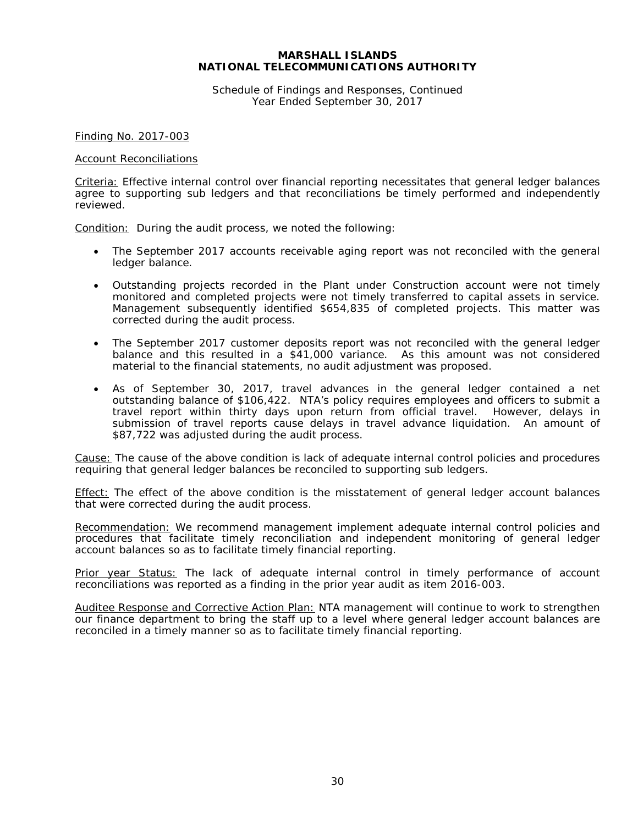## **MARSHALL ISLANDS NATIONAL TELECOMMUNICATIONS AUTHORITY**

Schedule of Findings and Responses, Continued Year Ended September 30, 2017

Finding No. 2017-003

## Account Reconciliations

Criteria: Effective internal control over financial reporting necessitates that general ledger balances agree to supporting sub ledgers and that reconciliations be timely performed and independently reviewed.

Condition: During the audit process, we noted the following:

- The September 2017 accounts receivable aging report was not reconciled with the general ledger balance.
- Outstanding projects recorded in the Plant under Construction account were not timely monitored and completed projects were not timely transferred to capital assets in service. Management subsequently identified \$654,835 of completed projects. This matter was corrected during the audit process.
- The September 2017 customer deposits report was not reconciled with the general ledger balance and this resulted in a \$41,000 variance. As this amount was not considered material to the financial statements, no audit adjustment was proposed.
- As of September 30, 2017, travel advances in the general ledger contained a net outstanding balance of \$106,422. NTA's policy requires employees and officers to submit a travel report within thirty days upon return from official travel. However, delays in submission of travel reports cause delays in travel advance liquidation. An amount of \$87,722 was adjusted during the audit process.

Cause: The cause of the above condition is lack of adequate internal control policies and procedures requiring that general ledger balances be reconciled to supporting sub ledgers.

**Effect:** The effect of the above condition is the misstatement of general ledger account balances that were corrected during the audit process.

Recommendation: We recommend management implement adequate internal control policies and procedures that facilitate timely reconciliation and independent monitoring of general ledger account balances so as to facilitate timely financial reporting.

Prior year Status: The lack of adequate internal control in timely performance of account reconciliations was reported as a finding in the prior year audit as item 2016-003.

Auditee Response and Corrective Action Plan: NTA management will continue to work to strengthen our finance department to bring the staff up to a level where general ledger account balances are reconciled in a timely manner so as to facilitate timely financial reporting.